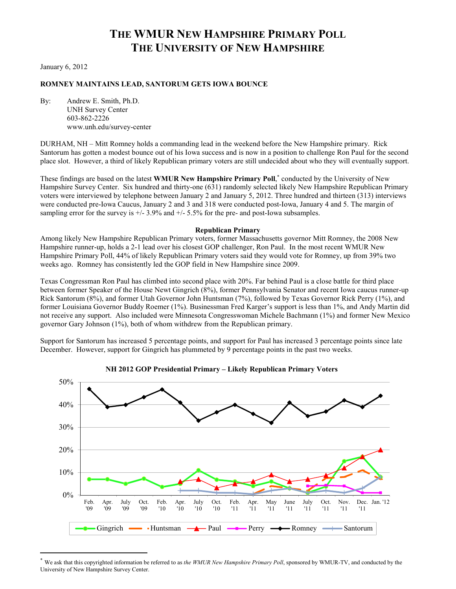# **THE WMUR NEW HAMPSHIRE PRIMARY POLL THE UNIVERSITY OF NEW HAMPSHIRE**

January 6, 2012

l

# **ROMNEY MAINTAINS LEAD, SANTORUM GETS IOWA BOUNCE**

By: Andrew E. Smith, Ph.D. UNH Survey Center 603-862-2226 www.unh.edu/survey-center

DURHAM, NH – Mitt Romney holds a commanding lead in the weekend before the New Hampshire primary. Rick Santorum has gotten a modest bounce out of his Iowa success and is now in a position to challenge Ron Paul for the second place slot. However, a third of likely Republican primary voters are still undecided about who they will eventually support.

These findings are based on the latest **WMUR New Hampshire Primary Poll**,<sup>\*</sup> conducted by the University of New Hampshire Survey Center. Six hundred and thirty-one (631) randomly selected likely New Hampshire Republican Primary voters were interviewed by telephone between January 2 and January 5, 2012. Three hundred and thirteen (313) interviews were conducted pre-Iowa Caucus, January 2 and 3 and 318 were conducted post-Iowa, January 4 and 5. The margin of sampling error for the survey is  $+/- 3.9\%$  and  $+/- 5.5\%$  for the pre- and post-Iowa subsamples.

### **Republican Primary**

Among likely New Hampshire Republican Primary voters, former Massachusetts governor Mitt Romney, the 2008 New Hampshire runner-up, holds a 2-1 lead over his closest GOP challenger, Ron Paul. In the most recent WMUR New Hampshire Primary Poll, 44% of likely Republican Primary voters said they would vote for Romney, up from 39% two weeks ago. Romney has consistently led the GOP field in New Hampshire since 2009.

Texas Congressman Ron Paul has climbed into second place with 20%. Far behind Paul is a close battle for third place between former Speaker of the House Newt Gingrich (8%), former Pennsylvania Senator and recent Iowa caucus runner-up Rick Santorum (8%), and former Utah Governor John Huntsman (7%), followed by Texas Governor Rick Perry (1%), and former Louisiana Governor Buddy Roemer (1%). Businessman Fred Karger's support is less than 1%, and Andy Martin did not receive any support. Also included were Minnesota Congresswoman Michele Bachmann (1%) and former New Mexico governor Gary Johnson (1%), both of whom withdrew from the Republican primary.

Support for Santorum has increased 5 percentage points, and support for Paul has increased 3 percentage points since late December. However, support for Gingrich has plummeted by 9 percentage points in the past two weeks.



**NH 2012 GOP Presidential Primary – Likely Republican Primary Voters**

We ask that this copyrighted information be referred to as *the WMUR New Hampshire Primary Poll*, sponsored by WMUR-TV, and conducted by the University of New Hampshire Survey Center.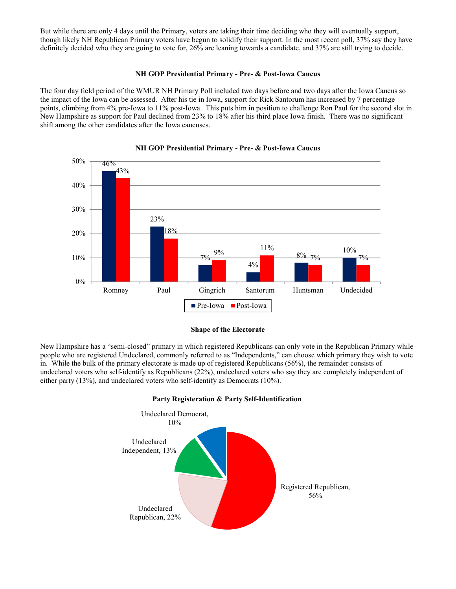But while there are only 4 days until the Primary, voters are taking their time deciding who they will eventually support, though likely NH Republican Primary voters have begun to solidify their support. In the most recent poll, 37% say they have definitely decided who they are going to vote for, 26% are leaning towards a candidate, and 37% are still trying to decide.

# **NH GOP Presidential Primary - Pre- & Post-Iowa Caucus**

The four day field period of the WMUR NH Primary Poll included two days before and two days after the Iowa Caucus so the impact of the Iowa can be assessed. After his tie in Iowa, support for Rick Santorum has increased by 7 percentage points, climbing from 4% pre-Iowa to 11% post-Iowa. This puts him in position to challenge Ron Paul for the second slot in New Hampshire as support for Paul declined from 23% to 18% after his third place Iowa finish. There was no significant shift among the other candidates after the Iowa caucuses.



# **NH GOP Presidential Primary - Pre- & Post-Iowa Caucus**



New Hampshire has a "semi-closed" primary in which registered Republicans can only vote in the Republican Primary while people who are registered Undeclared, commonly referred to as "Independents," can choose which primary they wish to vote in. While the bulk of the primary electorate is made up of registered Republicans (56%), the remainder consists of undeclared voters who self-identify as Republicans (22%), undeclared voters who say they are completely independent of either party (13%), and undeclared voters who self-identify as Democrats (10%).



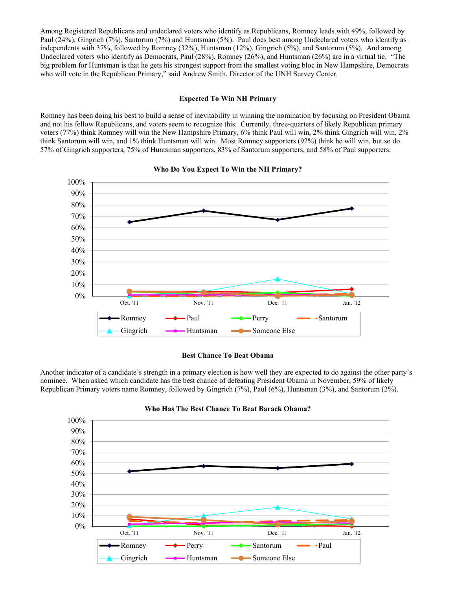Among Registered Republicans and undeclared voters who identify as Republicans, Romney leads with 49%, followed by Paul (24%), Gingrich (7%), Santorum (7%) and Huntsman (5%). Paul does best among Undeclared voters who identify as independents with 37%, followed by Romney (32%), Huntsman (12%), Gingrich (5%), and Santorum (5%). And among Undeclared voters who identify as Democrats, Paul (28%), Romney (26%), and Huntsman (26%) are in a virtual tie. "The big problem for Huntsman is that he gets his strongest support from the smallest voting bloc in New Hampshire, Democrats who will vote in the Republican Primary," said Andrew Smith, Director of the UNH Survey Center.

## **Expected To Win NH Primary**

Romney has been doing his best to build a sense of inevitability in winning the nomination by focusing on President Obama and not his fellow Republicans, and voters seem to recognize this. Currently, three-quarters of likely Republican primary voters (77%) think Romney will win the New Hampshire Primary, 6% think Paul will win, 2% think Gingrich will win, 2% think Santorum will win, and 1% think Huntsman will win. Most Romney supporters (92%) think he will win, but so do 57% of Gingrich supporters, 75% of Huntsman supporters, 83% of Santorum supporters, and 58% of Paul supporters.



### **Who Do You Expect To Win the NH Primary?**

### **Best Chance To Beat Obama**

Another indicator of a candidate's strength in a primary election is how well they are expected to do against the other party's nominee. When asked which candidate has the best chance of defeating President Obama in November, 59% of likely Republican Primary voters name Romney, followed by Gingrich (7%), Paul (6%), Huntsman (3%), and Santorum (2%).



### **Who Has The Best Chance To Beat Barack Obama?**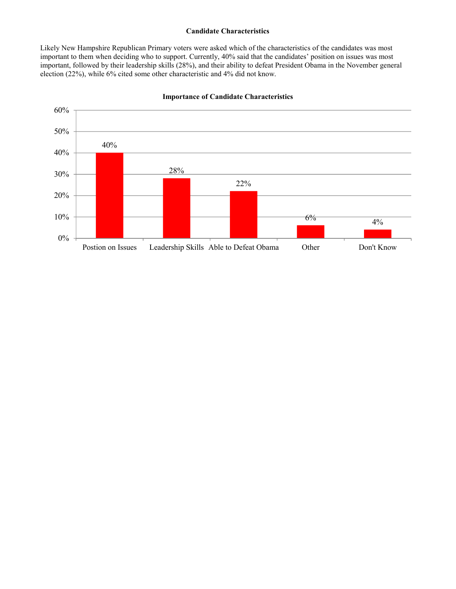### **Candidate Characteristics**

Likely New Hampshire Republican Primary voters were asked which of the characteristics of the candidates was most important to them when deciding who to support. Currently, 40% said that the candidates' position on issues was most important, followed by their leadership skills (28%), and their ability to defeat President Obama in the November general election (22%), while 6% cited some other characteristic and 4% did not know.



**Importance of Candidate Characteristics**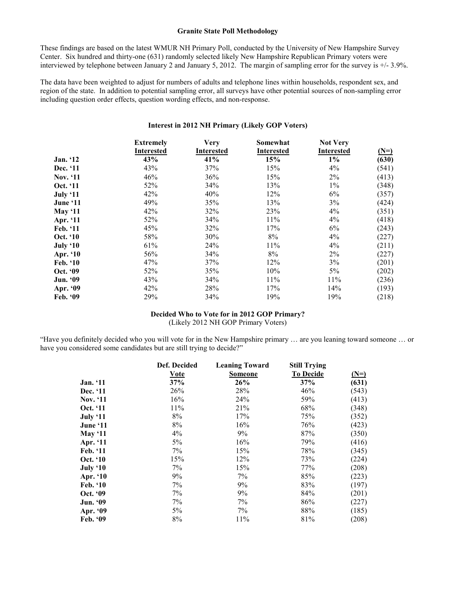### **Granite State Poll Methodology**

These findings are based on the latest WMUR NH Primary Poll, conducted by the University of New Hampshire Survey Center. Six hundred and thirty-one (631) randomly selected likely New Hampshire Republican Primary voters were interviewed by telephone between January 2 and January 5, 2012. The margin of sampling error for the survey is +/- 3.9%.

The data have been weighted to adjust for numbers of adults and telephone lines within households, respondent sex, and region of the state. In addition to potential sampling error, all surveys have other potential sources of non-sampling error including question order effects, question wording effects, and non-response.

# **Interest in 2012 NH Primary (Likely GOP Voters)**

|                | <b>Extremely</b><br>Interested | <b>Very</b><br><b>Interested</b> | Somewhat<br><b>Interested</b> | <b>Not Very</b><br><b>Interested</b> | $(N=)$ |
|----------------|--------------------------------|----------------------------------|-------------------------------|--------------------------------------|--------|
| Jan. '12       | 43%                            | 41%                              | 15%                           | $1\%$                                | (630)  |
| Dec. '11       | 43%                            | 37%                              | 15%                           | 4%                                   | (541)  |
| Nov. '11       | 46%                            | 36%                              | 15%                           | 2%                                   | (413)  |
| Oct. '11       | 52%                            | 34%                              | 13%                           | $1\%$                                | (348)  |
| July '11       | 42%                            | 40%                              | 12%                           | 6%                                   | (357)  |
| June '11       | 49%                            | 35%                              | 13%                           | 3%                                   | (424)  |
| <b>May '11</b> | 42%                            | 32%                              | 23%                           | 4%                                   | (351)  |
| Apr. '11       | 52%                            | 34%                              | 11%                           | 4%                                   | (418)  |
| Feb. '11       | 45%                            | 32%                              | 17%                           | 6%                                   | (243)  |
| Oct. '10       | 58%                            | 30%                              | 8%                            | 4%                                   | (227)  |
| July '10       | 61%                            | 24%                              | 11%                           | 4%                                   | (211)  |
| Apr. '10       | 56%                            | 34%                              | 8%                            | 2%                                   | (227)  |
| Feb. '10       | 47%                            | 37%                              | 12%                           | 3%                                   | (201)  |
| Oct. '09       | 52%                            | 35%                              | 10%                           | 5%                                   | (202)  |
| Jun. '09       | 43%                            | 34%                              | 11%                           | 11%                                  | (236)  |
| Apr. '09       | 42%                            | 28%                              | 17%                           | 14%                                  | (193)  |
| Feb. '09       | 29%                            | 34%                              | 19%                           | 19%                                  | (218)  |

### **Decided Who to Vote for in 2012 GOP Primary?**

(Likely 2012 NH GOP Primary Voters)

"Have you definitely decided who you will vote for in the New Hampshire primary … are you leaning toward someone … or have you considered some candidates but are still trying to decide?"

|                 | Def. Decided | <b>Leaning Toward</b> | <b>Still Trying</b> |        |
|-----------------|--------------|-----------------------|---------------------|--------|
|                 | <u>Vote</u>  | <b>Someone</b>        | <b>To Decide</b>    | $(N=)$ |
| <b>Jan.</b> '11 | 37%          | 26%                   | 37%                 | (631)  |
| Dec. '11        | 26%          | 28%                   | 46%                 | (543)  |
| <b>Nov.</b> '11 | 16%          | 24%                   | 59%                 | (413)  |
| Oct. '11        | 11%          | 21%                   | 68%                 | (348)  |
| July '11        | 8%           | 17%                   | 75%                 | (352)  |
| June '11        | 8%           | 16%                   | 76%                 | (423)  |
| May $`11$       | 4%           | 9%                    | 87%                 | (350)  |
| Apr. '11        | 5%           | 16%                   | 79%                 | (416)  |
| Feb. '11        | 7%           | 15%                   | 78%                 | (345)  |
| Oct. '10        | 15%          | 12%                   | 73%                 | (224)  |
| July '10        | 7%           | 15%                   | 77%                 | (208)  |
| Apr. '10        | 9%           | 7%                    | 85%                 | (223)  |
| <b>Feb.</b> '10 | 7%           | 9%                    | 83%                 | (197)  |
| Oct. '09        | 7%           | 9%                    | 84%                 | (201)  |
| <b>Jun. '09</b> | 7%           | 7%                    | 86%                 | (227)  |
| Apr. '09        | 5%           | 7%                    | 88%                 | (185)  |
| Feb. '09        | 8%           | 11%                   | 81%                 | (208)  |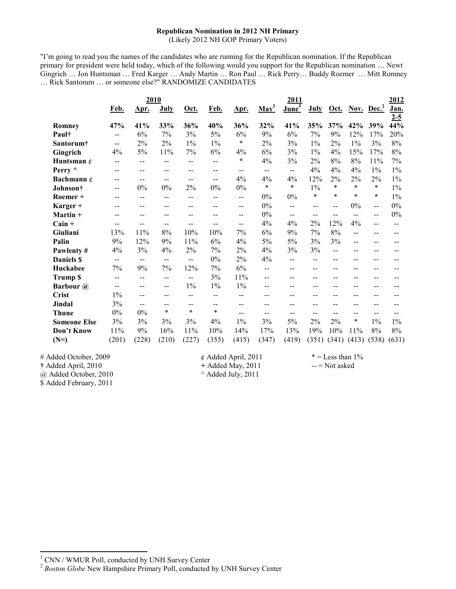# **Republican Nomination in 2012 NH Primary**

(Likely 2012 NH GOP Primary Voters)

"I'm going to read you the names of the candidates who are running for the Republican nomination. If the Republican primary for president were held today, which of the following would you support for the Republican nomination … Newt Gingrich … Jon Huntsman … Fred Karger … Andy Martin … Ron Paul … Rick Perry… Buddy Roemer … Mitt Romney … Rick Santorum … or someone else?" RANDOMIZE CANDIDATES

|                      |              | 2010        |              |               |                          |              |                          | 2011                 |              |              |              |                        | 2012                   |
|----------------------|--------------|-------------|--------------|---------------|--------------------------|--------------|--------------------------|----------------------|--------------|--------------|--------------|------------------------|------------------------|
|                      | Feb.         | Apr.        | July         | Oct.          | Feb.                     | Apr.         | $\underline{May}^1$      | $J$ une <sup>2</sup> | July         | <u>Oct.</u>  |              | Nov. Dec. <sup>2</sup> | <u>Jan.</u><br>$2 - 5$ |
| Romney               | 47%          | 41%         | 33%          | 36%           | 40%                      | 36%          | 32%                      | 41%                  | 35%          | 37%          | 42%          | 39%                    | 44%                    |
| Paul†                | $- -$        | 6%          | 7%           | 3%            | 5%                       | $6\%$        | 9%                       | 6%                   | 7%           | 9%           | 12%          | 17%                    | 20%                    |
| Santorum†            | $-$          | $2\%$       | 2%           | $1\%$         | $1\%$                    | $\ast$       | 2%                       | 3%                   | $1\%$        | 2%           | $1\%$        | 3%                     | 8%                     |
| Gingrich             | 4%           | 5%          | 11%          | 7%            | $6\%$                    | 4%           | 6%                       | 3%                   | $1\%$        | 4%           | 15%          | 17%                    | 8%                     |
| Huntsman $\phi$      | --           | $-$         | --           | $-$           | $-$                      | $\ast$       | 4%                       | 3%                   | 2%           | 8%           | $8\%$        | 11%                    | 7%                     |
| Perry ^              | $-$          | $-$         | --           | $- -$         | $\overline{\phantom{a}}$ | $-$          | $\overline{\phantom{a}}$ | $- -$                | 4%           | 4%           | 4%           | $1\%$                  | $1\%$                  |
| Bachmann $\ell$      | $-$          | --          | $-$          | $- -$         | $-$                      | 4%           | 4%                       | 4%                   | 12%          | 2%           | 2%           | 2%                     | $1\%$                  |
| Johnson <sup>†</sup> | --           | 0%          | $0\%$        | 2%            | 0%                       | $0\%$        | $\ast$                   | $\ast$               | $1\%$        | $\ast$       | $\ast$       | $\ast$                 | $1\%$                  |
| Roemer +             | $- -$        | $- -$       | --           | $-$           | --                       | --           | 0%                       | 0%                   | $\ast$       | $\ast$       | $\ast$       | $\ast$                 | $1\%$                  |
| Karger +             |              | --          | --           |               |                          | --           | $0\%$                    | --                   | --           | --           | 0%           | --                     | 0%                     |
| Martin +             | --           | --          | --           |               |                          | --           | 0%                       | $-$                  | --           | $- -$        | $- -$        | --                     | 0%                     |
| $Cain +$             | $-$          | $-$         | $-$          | --            | $-$                      | $-$          | 4%                       | 4%                   | 2%           | 12%          | 4%           | $-$                    | $-$                    |
| Giuliani             | 13%          | 11%         | $8\%$        | 10%           | 10%                      | 7%           | 6%                       | 9%                   | 7%           | 8%           | --           |                        |                        |
| Palin                | 9%           | 12%         | 9%           | 11%           | 6%                       | 4%           | 5%                       | 5%                   | 3%           | 3%           | $-$          |                        |                        |
| Pawlenty#            | 4%           | 3%          | 4%           | 2%            | 7%                       | 2%           | 4%                       | 3%                   | 3%           | --           | --           | --                     | --                     |
| <b>Daniels S</b>     | --           | --          | --           | $- -$         | 0%                       | 2%           | 4%                       | $-$                  | --           | --           |              |                        |                        |
| Huckabee             | 7%           | 9%          | 7%           | 12%           | 7%                       | 6%           | $-$                      | $-$                  | $-$          | $-$          | --           |                        |                        |
| <b>Trump \$</b>      | --           | $-$         | --           | $\sim$ $\sim$ | 3%                       | 11%          | --                       | --                   | --           | --           |              |                        |                        |
| <b>Barbour</b> @     | --           | $-$         | $-$          | $1\%$         | $1\%$                    | $1\%$        |                          | --                   | --           | --           |              |                        |                        |
| <b>Crist</b>         | $1\%$        | --          | --           | $-$           | $-$                      | --           |                          | --                   | --           | --           | --           |                        |                        |
| Jindal               | 3%           | $-$         | --           | $\sim$ $\sim$ | $-$                      | --           | --                       | --                   | --           | --           |              |                        |                        |
| <b>Thune</b>         | 0%           | 0%          | $\ast$       | $\ast$        | $\star$                  | $-$          | $- -$                    | $-$                  | $-$          | --           | --           | $-$                    |                        |
| <b>Someone Else</b>  | 3%           | 3%          | 3%           | 3%            | 4%                       | $1\%$        | 3%                       | 5%                   | 2%           | 2%           | $\ast$       | $1\%$                  | $1\%$                  |
| Don't Know<br>$(N=)$ | 11%<br>(201) | 9%<br>(228) | 16%<br>(210) | 11%<br>(227)  | 10%<br>(355)             | 14%<br>(415) | 17%<br>(347)             | 13%<br>(419)         | 19%<br>(351) | 10%<br>(341) | 11%<br>(413) | 8%<br>(538)            | 8%<br>(631)            |

# Added October, 2009  $\phi$  Added April, 2011  $* =$  Less than 1% **†** Added April, 2010 **+ Added May, 2011** -- = Not asked  $\omega$  Added October, 2010  $\omega$  Added July, 2011 @ Added October, 2010 \$ Added February, 2011

l

<sup>1</sup> CNN / WMUR Poll, conducted by UNH Survey Center

<sup>&</sup>lt;sup>2</sup> Boston Globe New Hampshire Primary Poll, conducted by UNH Survey Center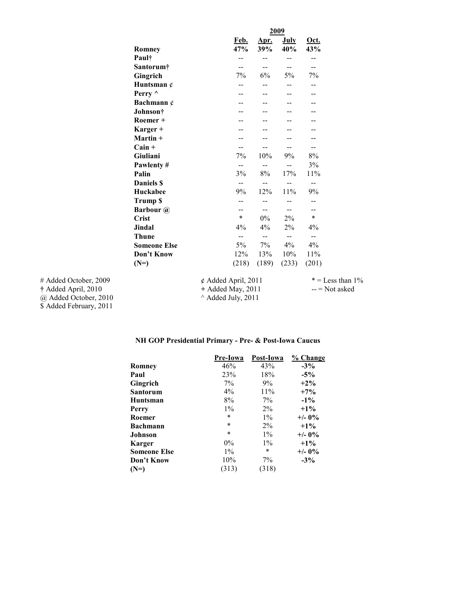|                       |                      |                          |                                               |                                               | 2009                     |                          |  |  |
|-----------------------|----------------------|--------------------------|-----------------------------------------------|-----------------------------------------------|--------------------------|--------------------------|--|--|
|                       | <b>Romney</b>        |                          | <u>Feb.</u><br>47%                            | <u>Apr.</u><br>39%                            | <b>July</b><br>40%       | Oct.<br>43%              |  |  |
|                       | Paul†                |                          | $-$                                           | $-$                                           | --                       | $- -$                    |  |  |
|                       | Santorum†            |                          | $\mathbf{u}$                                  | $-$                                           | $\overline{\phantom{m}}$ | $\overline{\phantom{m}}$ |  |  |
|                       | Gingrich             |                          | 7%                                            | 6%                                            | 5%                       | 7%                       |  |  |
|                       | Huntsman $\phi$      |                          | --                                            | $- -$                                         | $-$                      | $-$                      |  |  |
|                       | Perry $\wedge$       |                          | --                                            |                                               | --                       | --                       |  |  |
|                       | Bachmann $\phi$      |                          | $-$                                           | --                                            | --                       | --                       |  |  |
|                       | Johnson <sup>†</sup> |                          |                                               |                                               |                          |                          |  |  |
|                       | Roemer +             |                          |                                               |                                               |                          |                          |  |  |
|                       | Karger +             |                          |                                               |                                               |                          |                          |  |  |
|                       | $Martin +$           |                          |                                               |                                               | --                       |                          |  |  |
|                       | $Cain +$             |                          | $- -$                                         | $-$                                           | $- -$                    | $\overline{\phantom{m}}$ |  |  |
|                       | Giuliani             |                          | 7%                                            | 10%                                           | 9%                       | $8\%$                    |  |  |
|                       | Pawlenty#            |                          | $- -$                                         | $\mathord{\hspace{1pt}\text{--}\hspace{1pt}}$ | $-$                      | 3%                       |  |  |
|                       | Palin                |                          | 3%                                            | 8%                                            | 17%                      | 11%                      |  |  |
|                       | <b>Daniels S</b>     |                          | --                                            | $- -$                                         | $\overline{\phantom{a}}$ | $\qquad \qquad -$        |  |  |
|                       | Huckabee             |                          | 9%                                            | 12%                                           | 11%                      | 9%                       |  |  |
|                       | <b>Trump \$</b>      |                          | $- -$                                         | $-$                                           | --                       | $- -$                    |  |  |
|                       | <b>Barbour</b> @     |                          | $-$                                           | $-$                                           | $- -$                    | $- -$                    |  |  |
|                       | <b>Crist</b>         |                          | $\ast$                                        | $0\%$                                         | 2%                       | $\ast$                   |  |  |
|                       | Jindal               |                          | $4\%$                                         | $4\%$                                         | $2\%$                    | $4\%$                    |  |  |
|                       | <b>Thune</b>         |                          | $\mathord{\hspace{1pt}\text{--}\hspace{1pt}}$ | $\overline{\phantom{a}}$                      | $-$                      | $\overline{\phantom{m}}$ |  |  |
|                       | <b>Someone Else</b>  |                          | 5%                                            | 7%                                            | $4\%$                    | $4\%$                    |  |  |
|                       | Don't Know           |                          | 12%                                           | 13%                                           | 10%                      | 11%                      |  |  |
|                       | $(N=)$               |                          | (218)                                         | (189)                                         | (233)                    | (201)                    |  |  |
| # Added October, 2009 |                      | $\phi$ Added April, 2011 |                                               |                                               |                          | $* =$ Less than 1%       |  |  |
| † Added April, 2010   |                      | + Added May, 2011        |                                               |                                               |                          | $-$ = Not asked          |  |  |
| @ Added October, 2010 |                      | ^ Added July, 2011       |                                               |                                               |                          |                          |  |  |

 $\omega$  Added October, 2010  $\sim$  Added July, 2011 \$ Added February, 2011

# **NH GOP Presidential Primary - Pre- & Post-Iowa Caucus**

|                     | Pre-Iowa | Post-Iowa | % Change  |
|---------------------|----------|-----------|-----------|
| Romney              | 46%      | 43%       | $-3\%$    |
| Paul                | 23%      | 18%       | $-5\%$    |
| Gingrich            | 7%       | 9%        | $+2\%$    |
| Santorum            | $4\%$    | 11%       | $+7%$     |
| Huntsman            | 8%       | $7\%$     | $-1\%$    |
| Perry               | $1\%$    | $2\%$     | $+1\%$    |
| Roemer              | $\ast$   | $1\%$     | $+/- 0\%$ |
| <b>Bachmann</b>     | $\ast$   | $2\%$     | $+1\%$    |
| Johnson             | $\ast$   | $1\%$     | $+/- 0\%$ |
| <b>Karger</b>       | $0\%$    | $1\%$     | $+1\%$    |
| <b>Someone Else</b> | $1\%$    | $\ast$    | $+/- 0\%$ |
| Don't Know          | 10%      | $7\%$     | $-3\%$    |
| $(N=)$              | (313)    | 318)      |           |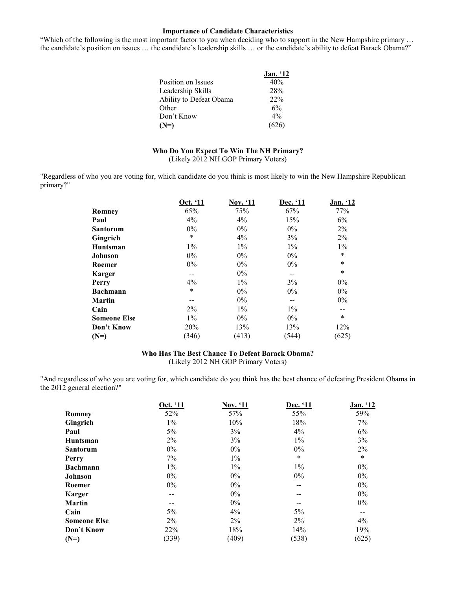### **Importance of Candidate Characteristics**

"Which of the following is the most important factor to you when deciding who to support in the New Hampshire primary … the candidate's position on issues … the candidate's leadership skills … or the candidate's ability to defeat Barack Obama?"

|                         | Jan. '12 |
|-------------------------|----------|
| Position on Issues      | 40%      |
| Leadership Skills       | 28%      |
| Ability to Defeat Obama | 22%      |
| Other                   | 6%       |
| Don't Know              | $4\%$    |
| $(N=)$                  | (626)    |

### **Who Do You Expect To Win The NH Primary?**  (Likely 2012 NH GOP Primary Voters)

"Regardless of who you are voting for, which candidate do you think is most likely to win the New Hampshire Republican primary?"

|                     | Oct. '11 | Nov. '11 | Dec. '11 | Jan. '12 |
|---------------------|----------|----------|----------|----------|
| Romney              | 65%      | 75%      | 67%      | 77%      |
| Paul                | 4%       | 4%       | 15%      | 6%       |
| <b>Santorum</b>     | $0\%$    | $0\%$    | $0\%$    | 2%       |
| Gingrich            | $\ast$   | 4%       | 3%       | 2%       |
| Huntsman            | $1\%$    | $1\%$    | $1\%$    | $1\%$    |
| <b>Johnson</b>      | $0\%$    | $0\%$    | $0\%$    | $\ast$   |
| Roemer              | $0\%$    | $0\%$    | $0\%$    | $\ast$   |
| <b>Karger</b>       | --       | $0\%$    | --       | $\ast$   |
| Perry               | 4%       | $1\%$    | 3%       | $0\%$    |
| <b>Bachmann</b>     | $\ast$   | $0\%$    | $0\%$    | $0\%$    |
| <b>Martin</b>       | --       | $0\%$    | --       | $0\%$    |
| Cain                | $2\%$    | $1\%$    | $1\%$    |          |
| <b>Someone Else</b> | $1\%$    | $0\%$    | $0\%$    | $\ast$   |
| Don't Know          | 20%      | 13%      | 13%      | 12%      |
| $(N=)$              | (346)    | (413)    | (544)    | (625)    |

# **Who Has The Best Chance To Defeat Barack Obama?**

(Likely 2012 NH GOP Primary Voters)

"And regardless of who you are voting for, which candidate do you think has the best chance of defeating President Obama in the 2012 general election?"

|                     | Oct. '11 | <b>Nov. '11</b> | Dec. '11 | Jan. '12 |
|---------------------|----------|-----------------|----------|----------|
| <b>Romney</b>       | 52%      | 57%             | 55%      | 59%      |
| Gingrich            | $1\%$    | 10%             | 18%      | 7%       |
| Paul                | $5\%$    | 3%              | 4%       | 6%       |
| Huntsman            | $2\%$    | 3%              | $1\%$    | 3%       |
| <b>Santorum</b>     | $0\%$    | $0\%$           | $0\%$    | 2%       |
| Perry               | 7%       | $1\%$           | $\ast$   | $\ast$   |
| <b>Bachmann</b>     | $1\%$    | $1\%$           | $1\%$    | $0\%$    |
| <b>Johnson</b>      | $0\%$    | $0\%$           | $0\%$    | $0\%$    |
| Roemer              | $0\%$    | $0\%$           | --       | $0\%$    |
| <b>Karger</b>       |          | $0\%$           | --       | $0\%$    |
| <b>Martin</b>       |          | $0\%$           |          | $0\%$    |
| Cain                | 5%       | 4%              | 5%       | --       |
| <b>Someone Else</b> | $2\%$    | $2\%$           | $2\%$    | 4%       |
| Don't Know          | 22%      | 18%             | 14%      | 19%      |
| $(N=)$              | (339)    | (409)           | (538)    | (625)    |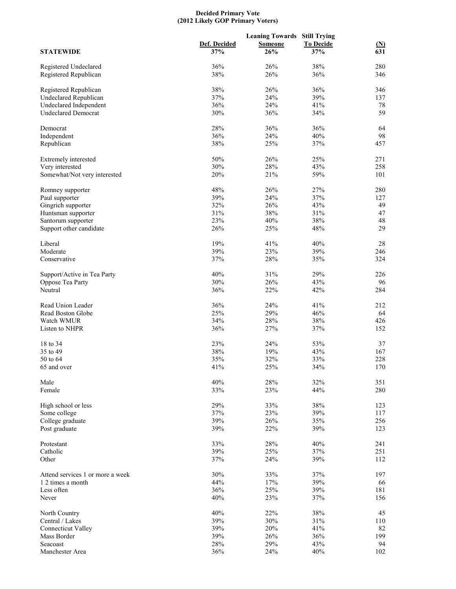#### **Decided Primary Vote (2012 Likely GOP Primary Voters)**

|                                  |              | <b>Leaning Towards Still Trying</b> |                  |                          |
|----------------------------------|--------------|-------------------------------------|------------------|--------------------------|
|                                  | Def. Decided | <b>Someone</b>                      | <b>To Decide</b> |                          |
| <b>STATEWIDE</b>                 | 37%          | 26%                                 | 37%              | $\frac{\text{(N)}}{631}$ |
|                                  |              |                                     |                  |                          |
| Registered Undeclared            | 36%          | 26%                                 | 38%              | 280                      |
| Registered Republican            | 38%          | 26%                                 | 36%              | 346                      |
| Registered Republican            | 38%          | 26%                                 | 36%              | 346                      |
| Undeclared Republican            | 37%          | 24%                                 | 39%              | 137                      |
| Undeclared Independent           | 36%          | 24%                                 | 41%              | 78                       |
| <b>Undeclared Democrat</b>       | 30%          | 36%                                 | 34%              | 59                       |
|                                  |              |                                     |                  |                          |
| Democrat                         | 28%          | 36%                                 | 36%              | 64                       |
| Independent                      | 36%          | 24%                                 | 40%              | 98                       |
| Republican                       | 38%          | 25%                                 | 37%              | 457                      |
| Extremely interested             | 50%          | 26%                                 | 25%              | 271                      |
| Very interested                  | 30%          | 28%                                 | 43%              | 258                      |
| Somewhat/Not very interested     | 20%          | 21%                                 | 59%              | 101                      |
|                                  |              |                                     |                  |                          |
| Romney supporter                 | 48%          | 26%                                 | 27%              | 280                      |
| Paul supporter                   | 39%          | 24%                                 | 37%              | 127                      |
| Gingrich supporter               | 32%          | 26%                                 | 43%              | 49                       |
| Huntsman supporter               | 31%          | 38%                                 | 31%              | 47                       |
| Santorum supporter               | 23%          | 40%                                 | 38%              | 48                       |
| Support other candidate          | 26%          | 25%                                 | 48%              | 29                       |
|                                  |              |                                     |                  |                          |
| Liberal                          | 19%          | 41%                                 | 40%              | 28                       |
| Moderate                         | 39%          | 23%                                 | 39%              | 246                      |
| Conservative                     | 37%          | 28%                                 | 35%              | 324                      |
| Support/Active in Tea Party      | 40%          | 31%                                 | 29%              | 226                      |
| Oppose Tea Party                 | 30%          | 26%                                 | 43%              | 96                       |
| Neutral                          | 36%          | 22%                                 | 42%              | 284                      |
|                                  |              |                                     |                  |                          |
| Read Union Leader                | 36%          | 24%                                 | 41%              | 212                      |
| Read Boston Globe                | 25%          | 29%                                 | 46%              | 64                       |
| Watch WMUR                       | 34%          | 28%                                 | 38%              | 426                      |
| Listen to NHPR                   | 36%          | 27%                                 | 37%              | 152                      |
|                                  |              |                                     |                  |                          |
| 18 to 34                         | 23%          | 24%                                 | 53%              | 37                       |
| 35 to 49                         | 38%          | 19%                                 | 43%              | 167                      |
| 50 to 64                         | 35%          | 32%                                 | 33%              | 228                      |
| 65 and over                      | 41%          | 25%                                 | 34%              | 170                      |
|                                  |              |                                     |                  |                          |
| Male                             | 40%          | 28%                                 | 32%              | 351                      |
| Female                           | 33%          | 23%                                 | 44%              | 280                      |
| High school or less              | 29%          | 33%                                 | 38%              | 123                      |
| Some college                     | 37%          | 23%                                 | 39%              | 117                      |
| College graduate                 | 39%          | 26%                                 | 35%              | 256                      |
| Post graduate                    | 39%          | 22%                                 | 39%              | 123                      |
|                                  |              |                                     |                  |                          |
| Protestant                       | 33%          | 28%                                 | 40%              | 241                      |
| Catholic                         | 39%          | 25%                                 | 37%              | 251                      |
| Other                            | 37%          | 24%                                 | 39%              | 112                      |
| Attend services 1 or more a week | 30%          | 33%                                 | 37%              | 197                      |
| 1 2 times a month                | 44%          | 17%                                 | 39%              | 66                       |
| Less often                       | 36%          | 25%                                 | 39%              | 181                      |
| Never                            | 40%          | 23%                                 | 37%              | 156                      |
|                                  |              |                                     |                  |                          |
| North Country                    | 40%          | 22%                                 | 38%              | 45                       |
| Central / Lakes                  | 39%          | 30%                                 | 31%              | 110                      |
| <b>Connecticut Valley</b>        | 39%          | 20%                                 | 41%              | 82                       |
| Mass Border                      | 39%          | 26%                                 | 36%              | 199                      |
| Seacoast                         | 28%          | 29%                                 | 43%              | 94                       |
| Manchester Area                  | 36%          | 24%                                 | 40%              | 102                      |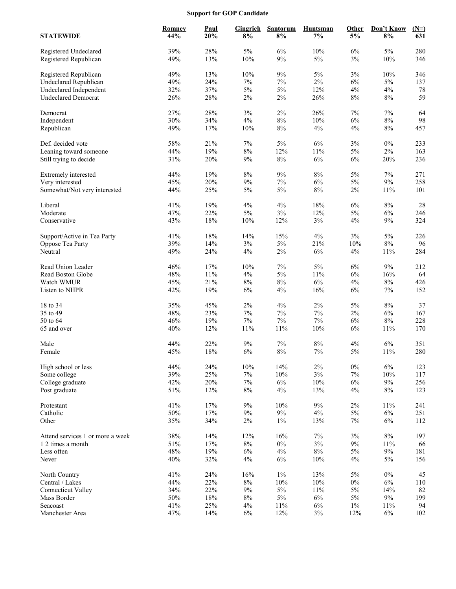# **Support for GOP Candidate**

| <b>STATEWIDE</b>                               | <b>Romney</b><br>44% | Paul<br>20% | <b>Gingrich</b><br>$8\%$ | <b>Santorum</b><br>8% | <b>Huntsman</b><br>$7\%$ | Other<br>5% | Don't Know<br>$8\%$ | $(N=)$<br>631 |
|------------------------------------------------|----------------------|-------------|--------------------------|-----------------------|--------------------------|-------------|---------------------|---------------|
| Registered Undeclared<br>Registered Republican | 39%<br>49%           | 28%<br>13%  | $5\%$<br>10%             | 6%<br>$9\%$           | 10%<br>$5\%$             | 6%<br>$3\%$ | 5%<br>10%           | 280<br>346    |
| Registered Republican                          | 49%                  | 13%         | 10%                      | $9\%$                 | 5%                       | 3%          | 10%                 | 346           |
| <b>Undeclared Republican</b>                   | 49%                  | 24%         | 7%                       | 7%                    | 2%                       | 6%          | 5%                  | 137           |
| Undeclared Independent                         | 32%                  | 37%         | 5%                       | $5\%$                 | 12%                      | 4%          | 4%                  | $78\,$        |
| <b>Undeclared Democrat</b>                     | 26%                  | 28%         | $2\%$                    | 2%                    | 26%                      | $8\%$       | $8\%$               | 59            |
|                                                |                      |             |                          |                       |                          |             |                     |               |
| Democrat                                       | 27%                  | 28%         | $3\%$                    | $2\%$                 | 26%                      | 7%          | $7\%$               | 64            |
| Independent                                    | 30%                  | 34%         | 4%                       | $8\%$                 | 10%                      | $6\%$       | $8\%$               | 98            |
| Republican                                     | 49%                  | 17%         | 10%                      | $8\%$                 | 4%                       | 4%          | $8\%$               | 457           |
| Def. decided vote                              | 58%                  | 21%         | 7%                       | $5\%$                 | 6%                       | 3%          | $0\%$               | 233           |
| Leaning toward someone                         | 44%                  | 19%         | 8%                       | 12%                   | 11%                      | 5%          | 2%                  | 163           |
| Still trying to decide                         | 31%                  | 20%         | 9%                       | $8\%$                 | 6%                       | 6%          | 20%                 | 236           |
|                                                |                      |             |                          |                       |                          |             |                     |               |
| Extremely interested                           | 44%                  | 19%         | $8\%$                    | $9\%$                 | $8\%$                    | 5%          | 7%                  | 271           |
| Very interested                                | 45%                  | 20%         | $9\%$                    | $7\%$                 | 6%                       | $5\%$       | $9\%$               | 258           |
| Somewhat/Not very interested                   | 44%                  | 25%         | $5\%$                    | 5%                    | $8\%$                    | $2\%$       | 11%                 | 101           |
| Liberal                                        | 41%                  | 19%         | 4%                       | 4%                    | 18%                      | 6%          | $8\%$               | 28            |
| Moderate                                       | 47%                  | 22%         | $5\%$                    | $3\%$                 | 12%                      | 5%          | $6\%$               | 246           |
| Conservative                                   | 43%                  | 18%         | 10%                      | 12%                   | 3%                       | 4%          | $9\%$               | 324           |
|                                                |                      |             |                          |                       |                          |             |                     |               |
| Support/Active in Tea Party                    | 41%                  | 18%         | 14%                      | 15%                   | 4%                       | 3%          | 5%                  | 226           |
| Oppose Tea Party                               | 39%                  | 14%         | $3\%$                    | $5\%$                 | 21%                      | 10%         | $8\%$               | 96            |
| Neutral                                        | 49%                  | 24%         | $4\%$                    | $2\%$                 | $6\%$                    | $4\%$       | 11%                 | 284           |
|                                                |                      |             |                          |                       |                          |             |                     |               |
| Read Union Leader                              | 46%                  | 17%         | 10%                      | 7%                    | 5%                       | 6%          | $9\%$               | 212           |
| Read Boston Globe                              | 48%                  | $11\%$      | $4\%$                    | 5%                    | 11%                      | 6%          | 16%                 | 64            |
| Watch WMUR                                     | 45%                  | 21%         | $8\%$                    | $8\%$                 | 6%                       | 4%          | $8\%$               | 426           |
| Listen to NHPR                                 | 42%                  | 19%         | $6\%$                    | 4%                    | 16%                      | $6\%$       | $7\%$               | 152           |
| 18 to 34                                       | 35%                  | 45%         | 2%                       | 4%                    | 2%                       | 5%          | $8\%$               | 37            |
| 35 to 49                                       | 48%                  | 23%         | $7\%$                    | $7\%$                 | 7%                       | 2%          | 6%                  | 167           |
| 50 to 64                                       | 46%                  | 19%         | $7\%$                    | $7\%$                 | 7%                       | 6%          | $8\%$               | 228           |
| 65 and over                                    | 40%                  | 12%         | 11%                      | $11\%$                | 10%                      | $6\%$       | 11%                 | 170           |
|                                                |                      |             |                          |                       |                          |             |                     |               |
| Male                                           | 44%                  | 22%         | $9\%$                    | 7%                    | $8\%$                    | 4%          | $6\%$               | 351           |
| Female                                         | 45%                  | $18\%$      | $6\%$                    | $8\%$                 | $7\%$                    | 5%          | 11%                 | 280           |
| High school or less                            | 44%                  | 24%         | $10\%$                   | 14%                   | $2\%$                    | $0\%$       | $6\%$               | 123           |
| Some college                                   | 39%                  | 25%         | $7\%$                    | $10\%$                | $3\%$                    | $7\%$       | 10%                 | 117           |
| College graduate                               | 42%                  | $20\%$      | $7\%$                    | $6\%$                 | 10%                      | $6\%$       | $9\%$               | 256           |
| Post graduate                                  | 51%                  | 12%         | $8\%$                    | $4\%$                 | 13%                      | $4\%$       | $8\%$               | 123           |
|                                                |                      |             |                          |                       |                          |             |                     |               |
| Protestant                                     | 41%                  | 17%         | $9\%$                    | $10\%$                | $9\%$                    | $2\%$       | 11%                 | 241           |
| Catholic                                       | $50\%$               | $17\%$      | $9\%$                    | $9\%$                 | $4\%$                    | $5\%$       | $6\%$               | 251           |
| Other                                          | 35%                  | 34%         | $2\%$                    | $1\%$                 | 13%                      | $7\%$       | $6\%$               | 112           |
| Attend services 1 or more a week               | 38%                  | 14%         | 12%                      | 16%                   | $7\%$                    | $3\%$       | $8\%$               | 197           |
| 1 2 times a month                              | $51\%$               | $17\%$      | $8\%$                    | $0\%$                 | $3\%$                    | $9\%$       | 11%                 | 66            |
| Less often                                     | 48%                  | 19%         | $6\%$                    | $4\%$                 | $8\%$                    | $5\%$       | $9\%$               | 181           |
| Never                                          | 40%                  | 32%         | 4%                       | $6\%$                 | 10%                      | 4%          | $5\%$               | 156           |
|                                                |                      |             |                          |                       |                          |             |                     |               |
| North Country                                  | 41%                  | 24%         | 16%                      | $1\%$                 | 13%                      | $5\%$       | $0\%$               | 45            |
| Central / Lakes                                | 44%                  | 22%         | $8\%$                    | $10\%$                | 10%                      | $0\%$       | $6\%$               | 110           |
| <b>Connecticut Valley</b>                      | 34%                  | 22%         | 9%                       | $5\%$                 | 11%                      | $5\%$       | 14%                 | 82            |
| Mass Border                                    | $50\%$               | $18\%$      | $8\%$                    | $5\%$                 | $6\%$                    | $5\%$       | $9\%$               | 199           |
| Seacoast                                       | 41%                  | 25%         | $4\%$                    | $11\%$                | $6\%$                    | $1\%$       | 11%                 | 94            |
| Manchester Area                                | 47%                  | 14%         | $6\%$                    | 12%                   | $3\%$                    | 12%         | $6\%$               | 102           |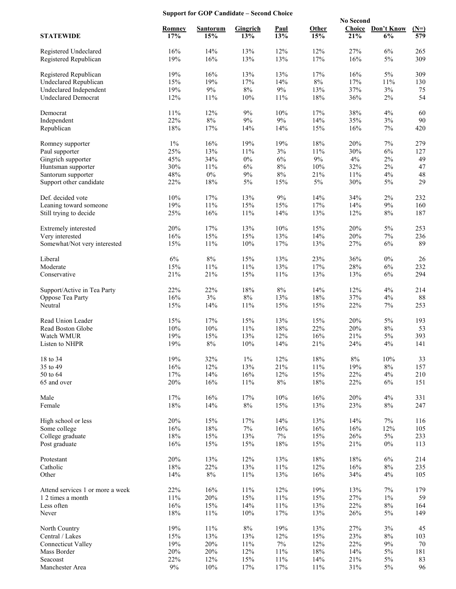# **Support for GOP Candidate – Second Choice**

|                                                |               |                 |                 |                  |                  | <b>No Second</b> |                         |               |
|------------------------------------------------|---------------|-----------------|-----------------|------------------|------------------|------------------|-------------------------|---------------|
| <b>STATEWIDE</b>                               | Romney<br>17% | Santorum<br>15% | Gingrich<br>13% | Paul<br>13%      | Other<br>15%     | 21%              | Choice Don't Know<br>6% | $(N=)$<br>579 |
| Registered Undeclared<br>Registered Republican | 16%<br>19%    | 14%<br>16%      | 13%<br>13%      | 12%<br>13%       | 12%<br>$17\%$    | 27%<br>16%       | 6%<br>$5\%$             | 265<br>309    |
| Registered Republican                          | 19%           | 16%             | 13%             | 13%              | 17%              | 16%              | $5\%$                   | 309           |
| <b>Undeclared Republican</b>                   | 15%           | 19%             | 17%             | 14%              | $8\%$            | 17%              | $11\%$                  | 130           |
| Undeclared Independent                         | 19%           | $9\%$           | $8\%$           | $9\%$            | 13%              | 37%              | $3\%$                   | 75            |
| <b>Undeclared Democrat</b>                     | 12%           | 11%             | 10%             | 11%              | $18\%$           | 36%              | 2%                      | 54            |
| Democrat                                       | 11%           | 12%             | $9\%$           | 10%              | 17%              | 38%              | $4\%$                   | 60            |
| Independent                                    | 22%           | $8\%$           | 9%              | $9\%$            | 14%              | 35%              | $3\%$                   | 90            |
| Republican                                     | 18%           | 17%             | 14%             | 14%              | 15%              | 16%              | 7%                      | 420           |
| Romney supporter                               | $1\%$         | 16%             | 19%             | 19%              | 18%              | 20%              | 7%                      | 279           |
| Paul supporter                                 | 25%<br>45%    | 13%<br>34%      | $11\%$<br>$0\%$ | $3\%$<br>6%      | 11%<br>$9\%$     | 30%<br>4%        | $6\%$<br>$2\%$          | 127<br>49     |
| Gingrich supporter<br>Huntsman supporter       | 30%           | $11\%$          | $6\%$           | $8\%$            | 10%              | 32%              | $2\%$                   | 47            |
| Santorum supporter                             | 48%           | $0\%$           | 9%              | 8%               | 21%              | 11%              | 4%                      | 48            |
| Support other candidate                        | 22%           | $18\%$          | $5\%$           | 15%              | $5\%$            | 30%              | $5\%$                   | 29            |
| Def. decided vote                              | 10%           | 17%             | 13%             | $9\%$            | 14%              | 34%              | $2\%$                   | 232           |
| Leaning toward someone                         | 19%           | $11\%$          | 15%             | 15%              | 17%              | 14%              | $9\%$                   | 160           |
| Still trying to decide                         | 25%           | 16%             | $11\%$          | 14%              | 13%              | 12%              | $8\%$                   | 187           |
| Extremely interested                           | 20%           | 17%             | 13%             | 10%              | 15%              | 20%              | $5\%$                   | 253           |
| Very interested                                | 16%           | 15%             | 15%             | 13%              | 14%              | 20%              | 7%                      | 236           |
| Somewhat/Not very interested                   | 15%           | 11%             | 10%             | 17%              | 13%              | 27%              | 6%                      | 89            |
| Liberal                                        | 6%            | 8%              | 15%             | 13%              | 23%              | 36%              | $0\%$                   | 26            |
| Moderate                                       | 15%           | $11\%$          | $11\%$          | 13%              | 17%              | 28%              | $6\%$                   | 232           |
| Conservative                                   | 21%           | 21%             | 15%             | 11%              | 13%              | 13%              | $6\%$                   | 294           |
| Support/Active in Tea Party                    | 22%           | 22%             | 18%             | $8\%$            | 14%              | 12%              | 4%                      | 214           |
| Oppose Tea Party                               | 16%           | $3\%$           | $8\%$           | 13%              | $18\%$           | 37%              | $4\%$                   | 88            |
| Neutral                                        | 15%           | 14%             | 11%             | 15%              | 15%              | 22%              | 7%                      | 253           |
| Read Union Leader                              | 15%           | 17%             | 15%             | 13%              | 15%              | 20%              | $5\%$                   | 193           |
| Read Boston Globe                              | 10%           | 10%             | $11\%$          | 18%              | 22%              | 20%              | $8\%$                   | 53            |
| Watch WMUR<br>Listen to NHPR                   | 19%<br>19%    | 15%<br>8%       | 13%<br>10%      | 12%<br>14%       | 16%<br>21%       | 21%<br>24%       | $5\%$<br>4%             | 393<br>141    |
|                                                |               |                 |                 |                  |                  |                  |                         |               |
| 18 to 34<br>35 to 49                           | 19%<br>16%    | 32%<br>12%      | $1\%$<br>13%    | 12%<br>21%       | $18\%$<br>$11\%$ | $8\%$<br>19%     | $10\%$<br>$8\%$         | 33<br>157     |
| 50 to 64                                       | 17%           | 14%             | 16%             | 12%              | 15%              | 22%              | 4%                      | 210           |
| 65 and over                                    | 20%           | 16%             | $11\%$          | $8\%$            | $18\%$           | 22%              | 6%                      | 151           |
| Male                                           | 17%           | 16%             | 17%             | 10%              | 16%              | 20%              | 4%                      | 331           |
| Female                                         | 18%           | 14%             | $8\%$           | 15%              | 13%              | 23%              | $8\%$                   | 247           |
| High school or less                            | 20%           | 15%             | 17%             | 14%              | 13%              | 14%              | $7\%$                   | 116           |
| Some college                                   | 16%           | $18\%$          | $7\%$           | 16%              | 16%              | 16%              | 12%                     | 105           |
| College graduate                               | 18%           | 15%             | 13%             | $7\%$            | 15%              | 26%              | $5\%$                   | 233           |
| Post graduate                                  | 16%           | 15%             | 15%             | 18%              | 15%              | 21%              | $0\%$                   | 113           |
| Protestant                                     | 20%           | 13%             | 12%             | 13%              | $18\%$           | 18%              | 6%                      | 214           |
| Catholic                                       | $18\%$        | 22%             | $13\%$          | 11%              | 12%              | 16%              | $8\%$                   | 235           |
| Other                                          | 14%           | $8\%$           | $11\%$          | 13%              | 16%              | 34%              | 4%                      | 105           |
| Attend services 1 or more a week               | 22%           | $16\%$          | $11\%$          | 12%              | 19%              | 13%              | $7\%$                   | 179           |
| 1 2 times a month                              | $11\%$        | 20%             | 15%             | $11\%$           | 15%              | 27%              | $1\%$                   | 59            |
| Less often                                     | 16%<br>18%    | $15\%$<br>11%   | 14%<br>$10\%$   | $11\%$<br>$17\%$ | 13%              | 22%              | $8\%$<br>$5\%$          | 164<br>149    |
| Never                                          |               |                 |                 |                  | 13%              | 26%              |                         |               |
| North Country                                  | 19%           | $11\%$          | $8\%$           | 19%              | 13%              | 27%              | $3\%$                   | 45            |
| Central / Lakes                                | 15%<br>19%    | 13%<br>20%      | 13%<br>$11\%$   | 12%<br>$7\%$     | 15%<br>12%       | 23%<br>22%       | $8\%$<br>$9\%$          | 103<br>70     |
| <b>Connecticut Valley</b><br>Mass Border       | 20%           | $20\%$          | 12%             | 11%              | $18\%$           | 14%              | $5\%$                   | 181           |
| Seacoast                                       | 22%           | 12%             | 15%             | $11\%$           | 14%              | 21%              | $5\%$                   | 83            |
| Manchester Area                                | $9\%$         | $10\%$          | 17%             | $17\%$           | $11\%$           | $31\%$           | $5\%$                   | 96            |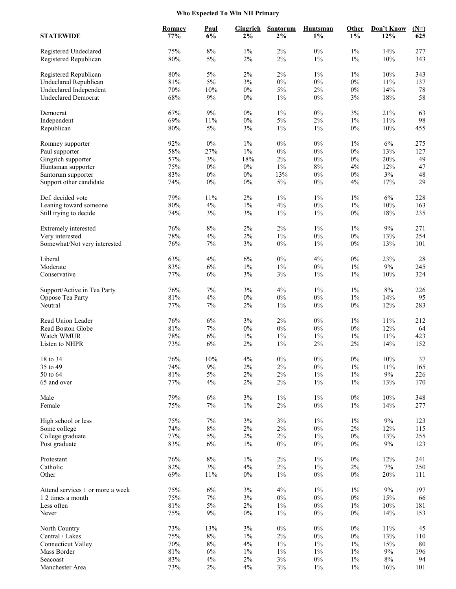# **Who Expected To Win NH Primary**

| <b>STATEWIDE</b>                               | <b>Romney</b><br>77% | <b>Paul</b><br>6% | <b>Gingrich</b><br>$2\%$ | <b>Santorum</b><br>$2\%$ | <b>Huntsman</b><br>$1\%$ | <b>Other</b><br>$1\%$ | Don't Know<br>12% | $(N=)$<br>625 |
|------------------------------------------------|----------------------|-------------------|--------------------------|--------------------------|--------------------------|-----------------------|-------------------|---------------|
|                                                | 75%                  | $8\%$             | $1\%$                    | 2%                       | $0\%$                    | $1\%$                 | 14%               | 277           |
| Registered Undeclared<br>Registered Republican | 80%                  | $5\%$             | $2\%$                    | 2%                       | $1\%$                    | $1\%$                 | $10\%$            | 343           |
| Registered Republican                          | $80\%$               | $5\%$             | $2\%$                    | $2\%$                    | $1\%$                    | $1\%$                 | $10\%$            | 343           |
| <b>Undeclared Republican</b>                   | $81\%$               | $5\%$             | $3\%$                    | $0\%$                    | $0\%$                    | $0\%$                 | $11\%$            | 137           |
| Undeclared Independent                         | $70\%$               | 10%               | $0\%$                    | $5\%$                    | $2\%$                    | $0\%$                 | 14%               | 78            |
| <b>Undeclared Democrat</b>                     | 68%                  | $9\%$             | $0\%$                    | $1\%$                    | 0%                       | $3\%$                 | $18\%$            | 58            |
| Democrat                                       | 67%                  | 9%                | $0\%$                    | $1\%$                    | $0\%$                    | 3%                    | 21%               | 63            |
| Independent                                    | 69%                  | 11%               | $0\%$                    | $5\%$                    | $2\%$                    | $1\%$                 | 11%               | 98            |
| Republican                                     | $80\%$               | $5\%$             | $3\%$                    | $1\%$                    | $1\%$                    | $0\%$                 | $10\%$            | 455           |
| Romney supporter                               | 92%                  | $0\%$             | $1\%$                    | $0\%$                    | $0\%$                    | $1\%$                 | 6%                | 275           |
| Paul supporter                                 | 58%                  | 27%               | $1\%$                    | $0\%$                    | $0\%$                    | $0\%$                 | 13%               | 127           |
| Gingrich supporter                             | 57%                  | $3\%$             | 18%                      | $2\%$                    | $0\%$                    | $0\%$                 | 20%               | 49            |
| Huntsman supporter                             | 75%                  | $0\%$             | $0\%$                    | $1\%$                    | $8\%$                    | $4\%$                 | 12%               | 47            |
| Santorum supporter<br>Support other candidate  | 83%<br>74%           | $0\%$<br>$0\%$    | $0\%$<br>$0\%$           | 13%<br>$5\%$             | $0\%$<br>$0\%$           | $0\%$<br>4%           | $3\%$<br>17%      | 48<br>29      |
| Def. decided vote                              | 79%                  | 11%               | 2%                       | $1\%$                    | $1\%$                    | 1%                    | 6%                | 228           |
| Leaning toward someone                         | $80\%$               | $4\%$             | $1\%$                    | 4%                       | $0\%$                    | $1\%$                 | $10\%$            | 163           |
| Still trying to decide                         | 74%                  | $3\%$             | $3\%$                    | $1\%$                    | $1\%$                    | $0\%$                 | $18\%$            | 235           |
| Extremely interested                           | 76%                  | $8\%$             | $2\%$                    | $2\%$                    | $1\%$                    | $1\%$                 | $9\%$             | 271           |
| Very interested                                | 78%                  | $4\%$             | $2\%$                    | $1\%$                    | $0\%$                    | $0\%$                 | 13%               | 254           |
| Somewhat/Not very interested                   | 76%                  | 7%                | 3%                       | $0\%$                    | $1\%$                    | $0\%$                 | 13%               | 101           |
| Liberal                                        | 63%                  | $4\%$             | $6\%$                    | $0\%$                    | 4%                       | $0\%$                 | 23%               | 28            |
| Moderate                                       | 83%                  | $6\%$             | $1\%$                    | $1\%$                    | $0\%$                    | $1\%$                 | 9%                | 245           |
| Conservative                                   | 77%                  | $6\%$             | $3\%$                    | $3\%$                    | $1\%$                    | $1\%$                 | $10\%$            | 324           |
| Support/Active in Tea Party                    | 76%                  | 7%                | 3%                       | 4%                       | $1\%$                    | $1\%$                 | 8%                | 226           |
| Oppose Tea Party                               | 81%                  | 4%                | $0\%$                    | $0\%$                    | $0\%$                    | $1\%$                 | 14%               | 95            |
| Neutral                                        | 77%                  | $7\%$             | $2\%$                    | $1\%$                    | $0\%$                    | $0\%$                 | 12%               | 283           |
| Read Union Leader                              | 76%                  | 6%                | 3%                       | 2%                       | $0\%$                    | $1\%$                 | 11%               | 212           |
| Read Boston Globe                              | $81\%$               | $7\%$             | $0\%$                    | $0\%$                    | $0\%$                    | $0\%$                 | 12%               | 64            |
| Watch WMUR                                     | 78%                  | $6\%$             | $1\%$                    | $1\%$                    | $1\%$                    | 1%                    | 11%               | 423           |
| Listen to NHPR                                 | 73%                  | 6%                | $2\%$                    | $1\%$                    | 2%                       | 2%                    | 14%               | 152           |
| 18 to 34                                       | 76%                  | 10%               | 4%                       | $0\%$                    | $0\%$                    | $0\%$                 | $10\%$            | $37\,$        |
| 35 to 49                                       | 74%                  | 9%                | $2\%$                    | 2%                       | $0\%$                    | $1\%$                 | 11%               | 165           |
| $50$ to $64\,$<br>65 and over                  | $81\%$<br>77%        | $5\%$<br>$4\%$    | $2\%$<br>$2\%$           | $2\%$<br>2%              | $1\%$<br>$1\%$           | $1\%$<br>$1\%$        | $9\%$<br>13%      | 226<br>170    |
|                                                |                      |                   |                          |                          |                          |                       |                   |               |
| Male<br>Female                                 | 79%<br>75%           | $6\%$<br>7%       | $3\%$<br>$1\%$           | $1\%$<br>$2\%$           | $1\%$<br>$0\%$           | $0\%$<br>$1\%$        | $10\%$<br>14%     | 348<br>277    |
| High school or less                            | 75%                  | $7\%$             | $3\%$                    | $3\%$                    | $1\%$                    | $1\%$                 | 9%                | 123           |
| Some college                                   | 74%                  | $8\%$             | $2\%$                    | $2\%$                    | $0\%$                    | $2\%$                 | 12%               | 115           |
| College graduate                               | 77%                  | $5\%$             | $2\%$                    | $2\%$                    | $1\%$                    | $0\%$                 | 13%               | 255           |
| Post graduate                                  | 83%                  | $6\%$             | $1\%$                    | $0\%$                    | $0\%$                    | $0\%$                 | $9\%$             | 123           |
| Protestant                                     | 76%                  | $8\%$             | $1\%$                    | $2\%$                    | $1\%$                    | $0\%$                 | 12%               | 241           |
| Catholic                                       | 82%                  | $3\%$             | $4\%$                    | $2\%$                    | $1\%$                    | $2\%$                 | $7\%$             | 250           |
| Other                                          | 69%                  | 11%               | $0\%$                    | $1\%$                    | $0\%$                    | $0\%$                 | 20%               | 111           |
| Attend services 1 or more a week               | 75%                  | $6\%$             | $3\%$                    | 4%                       | $1\%$                    | $1\%$                 | $9\%$             | 197           |
| 1 2 times a month                              | 75%                  | $7\%$             | $3\%$                    | $0\%$                    | $0\%$                    | $0\%$                 | 15%               | 66            |
| Less often                                     | $81\%$               | $5\%$             | $2\%$                    | $1\%$                    | $0\%$                    | $1\%$                 | $10\%$            | 181           |
| Never                                          | 75%                  | $9\%$             | $0\%$                    | $1\%$                    | $0\%$                    | $0\%$                 | 14%               | 153           |
| North Country                                  | 73%                  | 13%               | $3\%$                    | $0\%$                    | $0\%$                    | $0\%$                 | $11\%$            | 45            |
| Central / Lakes                                | 75%                  | $8\%$             | $1\%$                    | $2\%$                    | $0\%$                    | $0\%$                 | 13%               | 110           |
| <b>Connecticut Valley</b>                      | 70%                  | $8\%$             | $4\%$                    | $1\%$                    | $1\%$                    | $1\%$                 | 15%               | $80\,$        |
| Mass Border<br>Seacoast                        | $81\%$<br>83%        | $6\%$<br>$4\%$    | $1\%$<br>$2\%$           | $1\%$<br>$3\%$           | $1\%$<br>$0\%$           | $1\%$<br>$1\%$        | $9\%$<br>$8\%$    | 196<br>94     |
| Manchester Area                                | 73%                  | $2\%$             | 4%                       | $3\%$                    | $1\%$                    | $1\%$                 | 16%               | 101           |
|                                                |                      |                   |                          |                          |                          |                       |                   |               |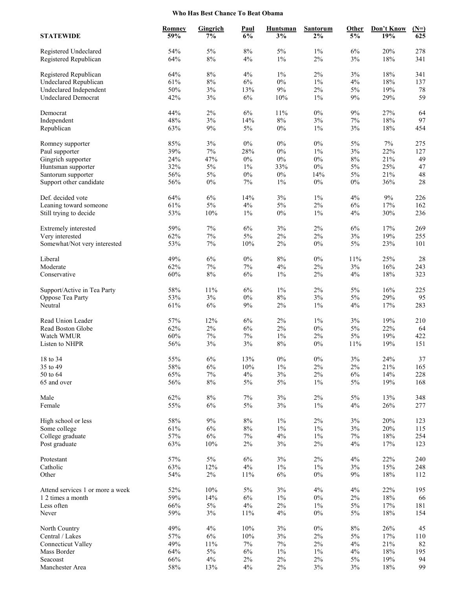### **Who Has Best Chance To Beat Obama**

| 54%<br>$8\%$<br>$5\%$<br>$1\%$<br>278<br>5%<br>6%<br>20%<br>Registered Undeclared<br>Registered Republican<br>64%<br>$8\%$<br>$1\%$<br>$2\%$<br>3%<br>$18\%$<br>341<br>4%<br>64%<br>8%<br>4%<br>$1\%$<br>2%<br>3%<br>18%<br>341<br>Registered Republican<br>61%<br>$8\%$<br>$6\%$<br>$0\%$<br>$1\%$<br>Undeclared Republican<br>4%<br>18%<br>137<br>2%<br>Undeclared Independent<br>50%<br>$3\%$<br>13%<br>9%<br>5%<br>19%<br>78<br>59<br>42%<br>$3\%$<br>$6\%$<br>$1\%$<br>$9\%$<br>29%<br><b>Undeclared Democrat</b><br>10%<br>$2\%$<br>$6\%$<br>$0\%$<br>9%<br>27%<br>44%<br>11%<br>64<br>Democrat<br>48%<br>$3\%$<br>$8\%$<br>3%<br>$18\%$<br>Independent<br>14%<br>7%<br>97<br>63%<br>$9\%$<br>$5\%$<br>$0\%$<br>$1\%$<br>3%<br>$18\%$<br>454<br>Republican<br>85%<br>$3\%$<br>$0\%$<br>$0\%$<br>$0\%$<br>5%<br>7%<br>275<br>Romney supporter<br>39%<br>$7\%$<br>3%<br>28%<br>$0\%$<br>$1\%$<br>22%<br>127<br>Paul supporter<br>$0\%$<br>$8\%$<br>24%<br>47%<br>$0\%$<br>$0\%$<br>21%<br>49<br>Gingrich supporter<br>32%<br>$5\%$<br>$1\%$<br>33%<br>$0\%$<br>$5\%$<br>25%<br>47<br>Huntsman supporter<br>56%<br>$5\%$<br>$0\%$<br>$0\%$<br>$5\%$<br>21%<br>48<br>14%<br>Santorum supporter<br>$0\%$<br>28<br>Support other candidate<br>56%<br>7%<br>$1\%$<br>$0\%$<br>$0\%$<br>36%<br>64%<br>$6\%$<br>$3\%$<br>$1\%$<br>4%<br>9%<br>Def. decided vote<br>14%<br>226<br>$5\%$<br>61%<br>$5\%$<br>$4\%$<br>$2\%$<br>$6\%$<br>17%<br>Leaning toward someone<br>162<br>53%<br>10%<br>$1\%$<br>$0\%$<br>$1\%$<br>4%<br>30%<br>236<br>Still trying to decide<br>59%<br>7%<br>6%<br>3%<br>2%<br>6%<br>17%<br>269<br>Extremely interested<br>19%<br>62%<br>$7\%$<br>$5\%$<br>$2\%$<br>$2\%$<br>$3\%$<br>255<br>Very interested<br>53%<br>$7\%$<br>$0\%$<br>$5\%$<br>23%<br>Somewhat/Not very interested<br>10%<br>2%<br>101<br>49%<br>$6\%$<br>$0\%$<br>8%<br>$0\%$<br>$11\%$<br>25%<br>28<br>Liberal<br>Moderate<br>62%<br>$7\%$<br>$7\%$<br>$4\%$<br>$2\%$<br>$3\%$<br>16%<br>243<br>$8\%$<br>$6\%$<br>$1\%$<br>$2\%$<br>$18\%$<br>323<br>Conservative<br>60%<br>4%<br>58%<br>11%<br>6%<br>$1\%$<br>2%<br>5%<br>16%<br>225<br>Support/Active in Tea Party<br>$8\%$<br>29%<br>53%<br>$3\%$<br>$0\%$<br>3%<br>5%<br>95<br>Oppose Tea Party<br>61%<br>$6\%$<br>$9\%$<br>$2\%$<br>$1\%$<br>$4\%$<br>17%<br>283<br>Neutral<br>57%<br>12%<br>$2\%$<br>$1\%$<br>$3\%$<br>19%<br>Read Union Leader<br>6%<br>210<br>62%<br>$2\%$<br>$6\%$<br>$2\%$<br>$0\%$<br>$5\%$<br>22%<br>Read Boston Globe<br>64<br>$5\%$<br>60%<br>$7\%$<br>$7\%$<br>$1\%$<br>$2\%$<br>19%<br>Watch WMUR<br>422<br>3%<br>$3\%$<br>$8\%$<br>56%<br>$0\%$<br>11%<br>19%<br>151<br>Listen to NHPR<br>55%<br>$0\%$<br>$3\%$<br>24%<br>$6\%$<br>13%<br>$0\%$<br>$37\,$<br>18 to 34<br>58%<br>10%<br>$2\%$<br>21%<br>6%<br>$1\%$<br>2%<br>165<br>35 to 49<br>50 to 64<br>65%<br>$7\%$<br>$4\%$<br>$3\%$<br>$2\%$<br>$6\%$<br>14%<br>228<br>56%<br>$8\%$<br>$5\%$<br>$5\%$<br>$1\%$<br>$5\%$<br>19%<br>168<br>65 and over<br>62%<br>$8\%$<br>$7\%$<br>$3\%$<br>$2\%$<br>$5\%$<br>13%<br>348<br>Male<br>55%<br>$6\%$<br>$5\%$<br>$3\%$<br>$1\%$<br>26%<br>Female<br>4%<br>277<br>$9\%$<br>$2\%$<br>58%<br>$8\%$<br>$1\%$<br>$3\%$<br>20%<br>High school or less<br>123<br>61%<br>$6\%$<br>$8\%$<br>$1\%$<br>$1\%$<br>$3\%$<br>20%<br>Some college<br>115<br>57%<br>$6\%$<br>$7\%$<br>$4\%$<br>$1\%$<br>7%<br>18%<br>254<br>College graduate<br>63%<br>$10\%$<br>$2\%$<br>$3\%$<br>$2\%$<br>4%<br>17%<br>123<br>Post graduate<br>57%<br>$5\%$<br>$6\%$<br>$3\%$<br>$2\%$<br>$4\%$<br>22%<br>Protestant<br>240<br>63%<br>Catholic<br>12%<br>$4\%$<br>$1\%$<br>$1\%$<br>$3\%$<br>15%<br>248<br>54%<br>$2\%$<br>11%<br>$6\%$<br>$0\%$<br>$9\%$<br>$18\%$<br>Other<br>112<br>52%<br>$10\%$<br>$3\%$<br>4%<br>4%<br>22%<br>Attend services 1 or more a week<br>5%<br>195<br>59%<br>14%<br>$6\%$<br>$1\%$<br>$0\%$<br>$2\%$<br>$18\%$<br>1 2 times a month<br>66<br>66%<br>$5\%$<br>$4\%$<br>$2\%$<br>$1\%$<br>$5\%$<br>17%<br>Less often<br>181<br>59%<br>3%<br>11%<br>4%<br>$0\%$<br>5%<br>18%<br>154<br>Never<br>49%<br>$4\%$<br>10%<br>$3\%$<br>$0\%$<br>$8\%$<br>26%<br>45<br>North Country<br>57%<br>$6\%$<br>10%<br>$3\%$<br>$2\%$<br>$5\%$<br>$17\%$<br>Central / Lakes<br>110<br>49%<br>$11\%$<br>$7\%$<br>$7\%$<br>$2\%$<br>$4\%$<br>21%<br>82<br><b>Connecticut Valley</b><br>64%<br>$5\%$<br>$1\%$<br>18%<br>Mass Border<br>6%<br>$1\%$<br>4%<br>195<br>66%<br>$4\%$<br>$2\%$<br>$2\%$<br>$2\%$<br>$5\%$<br>19%<br>Seacoast<br>94 | <b>STATEWIDE</b> | <b>Romney</b><br>59% | Gingrich<br>7% | Paul<br>6% | <b>Huntsman</b><br>3% | <b>Santorum</b><br>2% | <b>Other</b><br>5% | Don't Know<br>19% | $(N=)$<br>625 |
|-----------------------------------------------------------------------------------------------------------------------------------------------------------------------------------------------------------------------------------------------------------------------------------------------------------------------------------------------------------------------------------------------------------------------------------------------------------------------------------------------------------------------------------------------------------------------------------------------------------------------------------------------------------------------------------------------------------------------------------------------------------------------------------------------------------------------------------------------------------------------------------------------------------------------------------------------------------------------------------------------------------------------------------------------------------------------------------------------------------------------------------------------------------------------------------------------------------------------------------------------------------------------------------------------------------------------------------------------------------------------------------------------------------------------------------------------------------------------------------------------------------------------------------------------------------------------------------------------------------------------------------------------------------------------------------------------------------------------------------------------------------------------------------------------------------------------------------------------------------------------------------------------------------------------------------------------------------------------------------------------------------------------------------------------------------------------------------------------------------------------------------------------------------------------------------------------------------------------------------------------------------------------------------------------------------------------------------------------------------------------------------------------------------------------------------------------------------------------------------------------------------------------------------------------------------------------------------------------------------------------------------------------------------------------------------------------------------------------------------------------------------------------------------------------------------------------------------------------------------------------------------------------------------------------------------------------------------------------------------------------------------------------------------------------------------------------------------------------------------------------------------------------------------------------------------------------------------------------------------------------------------------------------------------------------------------------------------------------------------------------------------------------------------------------------------------------------------------------------------------------------------------------------------------------------------------------------------------------------------------------------------------------------------------------------------------------------------------------------------------------------------------------------------------------------------------------------------------------------------------------------------------------------------------------------------------------------------------------------------------------------------------------------------------------------------------------------------------------------------------------------------------------------------------------------------------------------------------------------------------------------------------------------------------------------------------------------------------------------------------------------------------------------------------------------------------------------------------------------------------------|------------------|----------------------|----------------|------------|-----------------------|-----------------------|--------------------|-------------------|---------------|
|                                                                                                                                                                                                                                                                                                                                                                                                                                                                                                                                                                                                                                                                                                                                                                                                                                                                                                                                                                                                                                                                                                                                                                                                                                                                                                                                                                                                                                                                                                                                                                                                                                                                                                                                                                                                                                                                                                                                                                                                                                                                                                                                                                                                                                                                                                                                                                                                                                                                                                                                                                                                                                                                                                                                                                                                                                                                                                                                                                                                                                                                                                                                                                                                                                                                                                                                                                                                                                                                                                                                                                                                                                                                                                                                                                                                                                                                                                                                                                                                                                                                                                                                                                                                                                                                                                                                                                                                                                                                                               |                  |                      |                |            |                       |                       |                    |                   |               |
|                                                                                                                                                                                                                                                                                                                                                                                                                                                                                                                                                                                                                                                                                                                                                                                                                                                                                                                                                                                                                                                                                                                                                                                                                                                                                                                                                                                                                                                                                                                                                                                                                                                                                                                                                                                                                                                                                                                                                                                                                                                                                                                                                                                                                                                                                                                                                                                                                                                                                                                                                                                                                                                                                                                                                                                                                                                                                                                                                                                                                                                                                                                                                                                                                                                                                                                                                                                                                                                                                                                                                                                                                                                                                                                                                                                                                                                                                                                                                                                                                                                                                                                                                                                                                                                                                                                                                                                                                                                                                               |                  |                      |                |            |                       |                       |                    |                   |               |
|                                                                                                                                                                                                                                                                                                                                                                                                                                                                                                                                                                                                                                                                                                                                                                                                                                                                                                                                                                                                                                                                                                                                                                                                                                                                                                                                                                                                                                                                                                                                                                                                                                                                                                                                                                                                                                                                                                                                                                                                                                                                                                                                                                                                                                                                                                                                                                                                                                                                                                                                                                                                                                                                                                                                                                                                                                                                                                                                                                                                                                                                                                                                                                                                                                                                                                                                                                                                                                                                                                                                                                                                                                                                                                                                                                                                                                                                                                                                                                                                                                                                                                                                                                                                                                                                                                                                                                                                                                                                                               |                  |                      |                |            |                       |                       |                    |                   |               |
|                                                                                                                                                                                                                                                                                                                                                                                                                                                                                                                                                                                                                                                                                                                                                                                                                                                                                                                                                                                                                                                                                                                                                                                                                                                                                                                                                                                                                                                                                                                                                                                                                                                                                                                                                                                                                                                                                                                                                                                                                                                                                                                                                                                                                                                                                                                                                                                                                                                                                                                                                                                                                                                                                                                                                                                                                                                                                                                                                                                                                                                                                                                                                                                                                                                                                                                                                                                                                                                                                                                                                                                                                                                                                                                                                                                                                                                                                                                                                                                                                                                                                                                                                                                                                                                                                                                                                                                                                                                                                               |                  |                      |                |            |                       |                       |                    |                   |               |
|                                                                                                                                                                                                                                                                                                                                                                                                                                                                                                                                                                                                                                                                                                                                                                                                                                                                                                                                                                                                                                                                                                                                                                                                                                                                                                                                                                                                                                                                                                                                                                                                                                                                                                                                                                                                                                                                                                                                                                                                                                                                                                                                                                                                                                                                                                                                                                                                                                                                                                                                                                                                                                                                                                                                                                                                                                                                                                                                                                                                                                                                                                                                                                                                                                                                                                                                                                                                                                                                                                                                                                                                                                                                                                                                                                                                                                                                                                                                                                                                                                                                                                                                                                                                                                                                                                                                                                                                                                                                                               |                  |                      |                |            |                       |                       |                    |                   |               |
|                                                                                                                                                                                                                                                                                                                                                                                                                                                                                                                                                                                                                                                                                                                                                                                                                                                                                                                                                                                                                                                                                                                                                                                                                                                                                                                                                                                                                                                                                                                                                                                                                                                                                                                                                                                                                                                                                                                                                                                                                                                                                                                                                                                                                                                                                                                                                                                                                                                                                                                                                                                                                                                                                                                                                                                                                                                                                                                                                                                                                                                                                                                                                                                                                                                                                                                                                                                                                                                                                                                                                                                                                                                                                                                                                                                                                                                                                                                                                                                                                                                                                                                                                                                                                                                                                                                                                                                                                                                                                               |                  |                      |                |            |                       |                       |                    |                   |               |
|                                                                                                                                                                                                                                                                                                                                                                                                                                                                                                                                                                                                                                                                                                                                                                                                                                                                                                                                                                                                                                                                                                                                                                                                                                                                                                                                                                                                                                                                                                                                                                                                                                                                                                                                                                                                                                                                                                                                                                                                                                                                                                                                                                                                                                                                                                                                                                                                                                                                                                                                                                                                                                                                                                                                                                                                                                                                                                                                                                                                                                                                                                                                                                                                                                                                                                                                                                                                                                                                                                                                                                                                                                                                                                                                                                                                                                                                                                                                                                                                                                                                                                                                                                                                                                                                                                                                                                                                                                                                                               |                  |                      |                |            |                       |                       |                    |                   |               |
|                                                                                                                                                                                                                                                                                                                                                                                                                                                                                                                                                                                                                                                                                                                                                                                                                                                                                                                                                                                                                                                                                                                                                                                                                                                                                                                                                                                                                                                                                                                                                                                                                                                                                                                                                                                                                                                                                                                                                                                                                                                                                                                                                                                                                                                                                                                                                                                                                                                                                                                                                                                                                                                                                                                                                                                                                                                                                                                                                                                                                                                                                                                                                                                                                                                                                                                                                                                                                                                                                                                                                                                                                                                                                                                                                                                                                                                                                                                                                                                                                                                                                                                                                                                                                                                                                                                                                                                                                                                                                               |                  |                      |                |            |                       |                       |                    |                   |               |
|                                                                                                                                                                                                                                                                                                                                                                                                                                                                                                                                                                                                                                                                                                                                                                                                                                                                                                                                                                                                                                                                                                                                                                                                                                                                                                                                                                                                                                                                                                                                                                                                                                                                                                                                                                                                                                                                                                                                                                                                                                                                                                                                                                                                                                                                                                                                                                                                                                                                                                                                                                                                                                                                                                                                                                                                                                                                                                                                                                                                                                                                                                                                                                                                                                                                                                                                                                                                                                                                                                                                                                                                                                                                                                                                                                                                                                                                                                                                                                                                                                                                                                                                                                                                                                                                                                                                                                                                                                                                                               |                  |                      |                |            |                       |                       |                    |                   |               |
|                                                                                                                                                                                                                                                                                                                                                                                                                                                                                                                                                                                                                                                                                                                                                                                                                                                                                                                                                                                                                                                                                                                                                                                                                                                                                                                                                                                                                                                                                                                                                                                                                                                                                                                                                                                                                                                                                                                                                                                                                                                                                                                                                                                                                                                                                                                                                                                                                                                                                                                                                                                                                                                                                                                                                                                                                                                                                                                                                                                                                                                                                                                                                                                                                                                                                                                                                                                                                                                                                                                                                                                                                                                                                                                                                                                                                                                                                                                                                                                                                                                                                                                                                                                                                                                                                                                                                                                                                                                                                               |                  |                      |                |            |                       |                       |                    |                   |               |
|                                                                                                                                                                                                                                                                                                                                                                                                                                                                                                                                                                                                                                                                                                                                                                                                                                                                                                                                                                                                                                                                                                                                                                                                                                                                                                                                                                                                                                                                                                                                                                                                                                                                                                                                                                                                                                                                                                                                                                                                                                                                                                                                                                                                                                                                                                                                                                                                                                                                                                                                                                                                                                                                                                                                                                                                                                                                                                                                                                                                                                                                                                                                                                                                                                                                                                                                                                                                                                                                                                                                                                                                                                                                                                                                                                                                                                                                                                                                                                                                                                                                                                                                                                                                                                                                                                                                                                                                                                                                                               |                  |                      |                |            |                       |                       |                    |                   |               |
|                                                                                                                                                                                                                                                                                                                                                                                                                                                                                                                                                                                                                                                                                                                                                                                                                                                                                                                                                                                                                                                                                                                                                                                                                                                                                                                                                                                                                                                                                                                                                                                                                                                                                                                                                                                                                                                                                                                                                                                                                                                                                                                                                                                                                                                                                                                                                                                                                                                                                                                                                                                                                                                                                                                                                                                                                                                                                                                                                                                                                                                                                                                                                                                                                                                                                                                                                                                                                                                                                                                                                                                                                                                                                                                                                                                                                                                                                                                                                                                                                                                                                                                                                                                                                                                                                                                                                                                                                                                                                               |                  |                      |                |            |                       |                       |                    |                   |               |
|                                                                                                                                                                                                                                                                                                                                                                                                                                                                                                                                                                                                                                                                                                                                                                                                                                                                                                                                                                                                                                                                                                                                                                                                                                                                                                                                                                                                                                                                                                                                                                                                                                                                                                                                                                                                                                                                                                                                                                                                                                                                                                                                                                                                                                                                                                                                                                                                                                                                                                                                                                                                                                                                                                                                                                                                                                                                                                                                                                                                                                                                                                                                                                                                                                                                                                                                                                                                                                                                                                                                                                                                                                                                                                                                                                                                                                                                                                                                                                                                                                                                                                                                                                                                                                                                                                                                                                                                                                                                                               |                  |                      |                |            |                       |                       |                    |                   |               |
|                                                                                                                                                                                                                                                                                                                                                                                                                                                                                                                                                                                                                                                                                                                                                                                                                                                                                                                                                                                                                                                                                                                                                                                                                                                                                                                                                                                                                                                                                                                                                                                                                                                                                                                                                                                                                                                                                                                                                                                                                                                                                                                                                                                                                                                                                                                                                                                                                                                                                                                                                                                                                                                                                                                                                                                                                                                                                                                                                                                                                                                                                                                                                                                                                                                                                                                                                                                                                                                                                                                                                                                                                                                                                                                                                                                                                                                                                                                                                                                                                                                                                                                                                                                                                                                                                                                                                                                                                                                                                               |                  |                      |                |            |                       |                       |                    |                   |               |
|                                                                                                                                                                                                                                                                                                                                                                                                                                                                                                                                                                                                                                                                                                                                                                                                                                                                                                                                                                                                                                                                                                                                                                                                                                                                                                                                                                                                                                                                                                                                                                                                                                                                                                                                                                                                                                                                                                                                                                                                                                                                                                                                                                                                                                                                                                                                                                                                                                                                                                                                                                                                                                                                                                                                                                                                                                                                                                                                                                                                                                                                                                                                                                                                                                                                                                                                                                                                                                                                                                                                                                                                                                                                                                                                                                                                                                                                                                                                                                                                                                                                                                                                                                                                                                                                                                                                                                                                                                                                                               |                  |                      |                |            |                       |                       |                    |                   |               |
|                                                                                                                                                                                                                                                                                                                                                                                                                                                                                                                                                                                                                                                                                                                                                                                                                                                                                                                                                                                                                                                                                                                                                                                                                                                                                                                                                                                                                                                                                                                                                                                                                                                                                                                                                                                                                                                                                                                                                                                                                                                                                                                                                                                                                                                                                                                                                                                                                                                                                                                                                                                                                                                                                                                                                                                                                                                                                                                                                                                                                                                                                                                                                                                                                                                                                                                                                                                                                                                                                                                                                                                                                                                                                                                                                                                                                                                                                                                                                                                                                                                                                                                                                                                                                                                                                                                                                                                                                                                                                               |                  |                      |                |            |                       |                       |                    |                   |               |
|                                                                                                                                                                                                                                                                                                                                                                                                                                                                                                                                                                                                                                                                                                                                                                                                                                                                                                                                                                                                                                                                                                                                                                                                                                                                                                                                                                                                                                                                                                                                                                                                                                                                                                                                                                                                                                                                                                                                                                                                                                                                                                                                                                                                                                                                                                                                                                                                                                                                                                                                                                                                                                                                                                                                                                                                                                                                                                                                                                                                                                                                                                                                                                                                                                                                                                                                                                                                                                                                                                                                                                                                                                                                                                                                                                                                                                                                                                                                                                                                                                                                                                                                                                                                                                                                                                                                                                                                                                                                                               |                  |                      |                |            |                       |                       |                    |                   |               |
|                                                                                                                                                                                                                                                                                                                                                                                                                                                                                                                                                                                                                                                                                                                                                                                                                                                                                                                                                                                                                                                                                                                                                                                                                                                                                                                                                                                                                                                                                                                                                                                                                                                                                                                                                                                                                                                                                                                                                                                                                                                                                                                                                                                                                                                                                                                                                                                                                                                                                                                                                                                                                                                                                                                                                                                                                                                                                                                                                                                                                                                                                                                                                                                                                                                                                                                                                                                                                                                                                                                                                                                                                                                                                                                                                                                                                                                                                                                                                                                                                                                                                                                                                                                                                                                                                                                                                                                                                                                                                               |                  |                      |                |            |                       |                       |                    |                   |               |
|                                                                                                                                                                                                                                                                                                                                                                                                                                                                                                                                                                                                                                                                                                                                                                                                                                                                                                                                                                                                                                                                                                                                                                                                                                                                                                                                                                                                                                                                                                                                                                                                                                                                                                                                                                                                                                                                                                                                                                                                                                                                                                                                                                                                                                                                                                                                                                                                                                                                                                                                                                                                                                                                                                                                                                                                                                                                                                                                                                                                                                                                                                                                                                                                                                                                                                                                                                                                                                                                                                                                                                                                                                                                                                                                                                                                                                                                                                                                                                                                                                                                                                                                                                                                                                                                                                                                                                                                                                                                                               |                  |                      |                |            |                       |                       |                    |                   |               |
|                                                                                                                                                                                                                                                                                                                                                                                                                                                                                                                                                                                                                                                                                                                                                                                                                                                                                                                                                                                                                                                                                                                                                                                                                                                                                                                                                                                                                                                                                                                                                                                                                                                                                                                                                                                                                                                                                                                                                                                                                                                                                                                                                                                                                                                                                                                                                                                                                                                                                                                                                                                                                                                                                                                                                                                                                                                                                                                                                                                                                                                                                                                                                                                                                                                                                                                                                                                                                                                                                                                                                                                                                                                                                                                                                                                                                                                                                                                                                                                                                                                                                                                                                                                                                                                                                                                                                                                                                                                                                               |                  |                      |                |            |                       |                       |                    |                   |               |
|                                                                                                                                                                                                                                                                                                                                                                                                                                                                                                                                                                                                                                                                                                                                                                                                                                                                                                                                                                                                                                                                                                                                                                                                                                                                                                                                                                                                                                                                                                                                                                                                                                                                                                                                                                                                                                                                                                                                                                                                                                                                                                                                                                                                                                                                                                                                                                                                                                                                                                                                                                                                                                                                                                                                                                                                                                                                                                                                                                                                                                                                                                                                                                                                                                                                                                                                                                                                                                                                                                                                                                                                                                                                                                                                                                                                                                                                                                                                                                                                                                                                                                                                                                                                                                                                                                                                                                                                                                                                                               |                  |                      |                |            |                       |                       |                    |                   |               |
|                                                                                                                                                                                                                                                                                                                                                                                                                                                                                                                                                                                                                                                                                                                                                                                                                                                                                                                                                                                                                                                                                                                                                                                                                                                                                                                                                                                                                                                                                                                                                                                                                                                                                                                                                                                                                                                                                                                                                                                                                                                                                                                                                                                                                                                                                                                                                                                                                                                                                                                                                                                                                                                                                                                                                                                                                                                                                                                                                                                                                                                                                                                                                                                                                                                                                                                                                                                                                                                                                                                                                                                                                                                                                                                                                                                                                                                                                                                                                                                                                                                                                                                                                                                                                                                                                                                                                                                                                                                                                               |                  |                      |                |            |                       |                       |                    |                   |               |
|                                                                                                                                                                                                                                                                                                                                                                                                                                                                                                                                                                                                                                                                                                                                                                                                                                                                                                                                                                                                                                                                                                                                                                                                                                                                                                                                                                                                                                                                                                                                                                                                                                                                                                                                                                                                                                                                                                                                                                                                                                                                                                                                                                                                                                                                                                                                                                                                                                                                                                                                                                                                                                                                                                                                                                                                                                                                                                                                                                                                                                                                                                                                                                                                                                                                                                                                                                                                                                                                                                                                                                                                                                                                                                                                                                                                                                                                                                                                                                                                                                                                                                                                                                                                                                                                                                                                                                                                                                                                                               |                  |                      |                |            |                       |                       |                    |                   |               |
|                                                                                                                                                                                                                                                                                                                                                                                                                                                                                                                                                                                                                                                                                                                                                                                                                                                                                                                                                                                                                                                                                                                                                                                                                                                                                                                                                                                                                                                                                                                                                                                                                                                                                                                                                                                                                                                                                                                                                                                                                                                                                                                                                                                                                                                                                                                                                                                                                                                                                                                                                                                                                                                                                                                                                                                                                                                                                                                                                                                                                                                                                                                                                                                                                                                                                                                                                                                                                                                                                                                                                                                                                                                                                                                                                                                                                                                                                                                                                                                                                                                                                                                                                                                                                                                                                                                                                                                                                                                                                               |                  |                      |                |            |                       |                       |                    |                   |               |
|                                                                                                                                                                                                                                                                                                                                                                                                                                                                                                                                                                                                                                                                                                                                                                                                                                                                                                                                                                                                                                                                                                                                                                                                                                                                                                                                                                                                                                                                                                                                                                                                                                                                                                                                                                                                                                                                                                                                                                                                                                                                                                                                                                                                                                                                                                                                                                                                                                                                                                                                                                                                                                                                                                                                                                                                                                                                                                                                                                                                                                                                                                                                                                                                                                                                                                                                                                                                                                                                                                                                                                                                                                                                                                                                                                                                                                                                                                                                                                                                                                                                                                                                                                                                                                                                                                                                                                                                                                                                                               |                  |                      |                |            |                       |                       |                    |                   |               |
|                                                                                                                                                                                                                                                                                                                                                                                                                                                                                                                                                                                                                                                                                                                                                                                                                                                                                                                                                                                                                                                                                                                                                                                                                                                                                                                                                                                                                                                                                                                                                                                                                                                                                                                                                                                                                                                                                                                                                                                                                                                                                                                                                                                                                                                                                                                                                                                                                                                                                                                                                                                                                                                                                                                                                                                                                                                                                                                                                                                                                                                                                                                                                                                                                                                                                                                                                                                                                                                                                                                                                                                                                                                                                                                                                                                                                                                                                                                                                                                                                                                                                                                                                                                                                                                                                                                                                                                                                                                                                               |                  |                      |                |            |                       |                       |                    |                   |               |
|                                                                                                                                                                                                                                                                                                                                                                                                                                                                                                                                                                                                                                                                                                                                                                                                                                                                                                                                                                                                                                                                                                                                                                                                                                                                                                                                                                                                                                                                                                                                                                                                                                                                                                                                                                                                                                                                                                                                                                                                                                                                                                                                                                                                                                                                                                                                                                                                                                                                                                                                                                                                                                                                                                                                                                                                                                                                                                                                                                                                                                                                                                                                                                                                                                                                                                                                                                                                                                                                                                                                                                                                                                                                                                                                                                                                                                                                                                                                                                                                                                                                                                                                                                                                                                                                                                                                                                                                                                                                                               |                  |                      |                |            |                       |                       |                    |                   |               |
|                                                                                                                                                                                                                                                                                                                                                                                                                                                                                                                                                                                                                                                                                                                                                                                                                                                                                                                                                                                                                                                                                                                                                                                                                                                                                                                                                                                                                                                                                                                                                                                                                                                                                                                                                                                                                                                                                                                                                                                                                                                                                                                                                                                                                                                                                                                                                                                                                                                                                                                                                                                                                                                                                                                                                                                                                                                                                                                                                                                                                                                                                                                                                                                                                                                                                                                                                                                                                                                                                                                                                                                                                                                                                                                                                                                                                                                                                                                                                                                                                                                                                                                                                                                                                                                                                                                                                                                                                                                                                               |                  |                      |                |            |                       |                       |                    |                   |               |
|                                                                                                                                                                                                                                                                                                                                                                                                                                                                                                                                                                                                                                                                                                                                                                                                                                                                                                                                                                                                                                                                                                                                                                                                                                                                                                                                                                                                                                                                                                                                                                                                                                                                                                                                                                                                                                                                                                                                                                                                                                                                                                                                                                                                                                                                                                                                                                                                                                                                                                                                                                                                                                                                                                                                                                                                                                                                                                                                                                                                                                                                                                                                                                                                                                                                                                                                                                                                                                                                                                                                                                                                                                                                                                                                                                                                                                                                                                                                                                                                                                                                                                                                                                                                                                                                                                                                                                                                                                                                                               |                  |                      |                |            |                       |                       |                    |                   |               |
|                                                                                                                                                                                                                                                                                                                                                                                                                                                                                                                                                                                                                                                                                                                                                                                                                                                                                                                                                                                                                                                                                                                                                                                                                                                                                                                                                                                                                                                                                                                                                                                                                                                                                                                                                                                                                                                                                                                                                                                                                                                                                                                                                                                                                                                                                                                                                                                                                                                                                                                                                                                                                                                                                                                                                                                                                                                                                                                                                                                                                                                                                                                                                                                                                                                                                                                                                                                                                                                                                                                                                                                                                                                                                                                                                                                                                                                                                                                                                                                                                                                                                                                                                                                                                                                                                                                                                                                                                                                                                               |                  |                      |                |            |                       |                       |                    |                   |               |
|                                                                                                                                                                                                                                                                                                                                                                                                                                                                                                                                                                                                                                                                                                                                                                                                                                                                                                                                                                                                                                                                                                                                                                                                                                                                                                                                                                                                                                                                                                                                                                                                                                                                                                                                                                                                                                                                                                                                                                                                                                                                                                                                                                                                                                                                                                                                                                                                                                                                                                                                                                                                                                                                                                                                                                                                                                                                                                                                                                                                                                                                                                                                                                                                                                                                                                                                                                                                                                                                                                                                                                                                                                                                                                                                                                                                                                                                                                                                                                                                                                                                                                                                                                                                                                                                                                                                                                                                                                                                                               |                  |                      |                |            |                       |                       |                    |                   |               |
|                                                                                                                                                                                                                                                                                                                                                                                                                                                                                                                                                                                                                                                                                                                                                                                                                                                                                                                                                                                                                                                                                                                                                                                                                                                                                                                                                                                                                                                                                                                                                                                                                                                                                                                                                                                                                                                                                                                                                                                                                                                                                                                                                                                                                                                                                                                                                                                                                                                                                                                                                                                                                                                                                                                                                                                                                                                                                                                                                                                                                                                                                                                                                                                                                                                                                                                                                                                                                                                                                                                                                                                                                                                                                                                                                                                                                                                                                                                                                                                                                                                                                                                                                                                                                                                                                                                                                                                                                                                                                               |                  |                      |                |            |                       |                       |                    |                   |               |
|                                                                                                                                                                                                                                                                                                                                                                                                                                                                                                                                                                                                                                                                                                                                                                                                                                                                                                                                                                                                                                                                                                                                                                                                                                                                                                                                                                                                                                                                                                                                                                                                                                                                                                                                                                                                                                                                                                                                                                                                                                                                                                                                                                                                                                                                                                                                                                                                                                                                                                                                                                                                                                                                                                                                                                                                                                                                                                                                                                                                                                                                                                                                                                                                                                                                                                                                                                                                                                                                                                                                                                                                                                                                                                                                                                                                                                                                                                                                                                                                                                                                                                                                                                                                                                                                                                                                                                                                                                                                                               |                  |                      |                |            |                       |                       |                    |                   |               |
|                                                                                                                                                                                                                                                                                                                                                                                                                                                                                                                                                                                                                                                                                                                                                                                                                                                                                                                                                                                                                                                                                                                                                                                                                                                                                                                                                                                                                                                                                                                                                                                                                                                                                                                                                                                                                                                                                                                                                                                                                                                                                                                                                                                                                                                                                                                                                                                                                                                                                                                                                                                                                                                                                                                                                                                                                                                                                                                                                                                                                                                                                                                                                                                                                                                                                                                                                                                                                                                                                                                                                                                                                                                                                                                                                                                                                                                                                                                                                                                                                                                                                                                                                                                                                                                                                                                                                                                                                                                                                               |                  |                      |                |            |                       |                       |                    |                   |               |
|                                                                                                                                                                                                                                                                                                                                                                                                                                                                                                                                                                                                                                                                                                                                                                                                                                                                                                                                                                                                                                                                                                                                                                                                                                                                                                                                                                                                                                                                                                                                                                                                                                                                                                                                                                                                                                                                                                                                                                                                                                                                                                                                                                                                                                                                                                                                                                                                                                                                                                                                                                                                                                                                                                                                                                                                                                                                                                                                                                                                                                                                                                                                                                                                                                                                                                                                                                                                                                                                                                                                                                                                                                                                                                                                                                                                                                                                                                                                                                                                                                                                                                                                                                                                                                                                                                                                                                                                                                                                                               |                  |                      |                |            |                       |                       |                    |                   |               |
|                                                                                                                                                                                                                                                                                                                                                                                                                                                                                                                                                                                                                                                                                                                                                                                                                                                                                                                                                                                                                                                                                                                                                                                                                                                                                                                                                                                                                                                                                                                                                                                                                                                                                                                                                                                                                                                                                                                                                                                                                                                                                                                                                                                                                                                                                                                                                                                                                                                                                                                                                                                                                                                                                                                                                                                                                                                                                                                                                                                                                                                                                                                                                                                                                                                                                                                                                                                                                                                                                                                                                                                                                                                                                                                                                                                                                                                                                                                                                                                                                                                                                                                                                                                                                                                                                                                                                                                                                                                                                               |                  |                      |                |            |                       |                       |                    |                   |               |
|                                                                                                                                                                                                                                                                                                                                                                                                                                                                                                                                                                                                                                                                                                                                                                                                                                                                                                                                                                                                                                                                                                                                                                                                                                                                                                                                                                                                                                                                                                                                                                                                                                                                                                                                                                                                                                                                                                                                                                                                                                                                                                                                                                                                                                                                                                                                                                                                                                                                                                                                                                                                                                                                                                                                                                                                                                                                                                                                                                                                                                                                                                                                                                                                                                                                                                                                                                                                                                                                                                                                                                                                                                                                                                                                                                                                                                                                                                                                                                                                                                                                                                                                                                                                                                                                                                                                                                                                                                                                                               |                  |                      |                |            |                       |                       |                    |                   |               |
|                                                                                                                                                                                                                                                                                                                                                                                                                                                                                                                                                                                                                                                                                                                                                                                                                                                                                                                                                                                                                                                                                                                                                                                                                                                                                                                                                                                                                                                                                                                                                                                                                                                                                                                                                                                                                                                                                                                                                                                                                                                                                                                                                                                                                                                                                                                                                                                                                                                                                                                                                                                                                                                                                                                                                                                                                                                                                                                                                                                                                                                                                                                                                                                                                                                                                                                                                                                                                                                                                                                                                                                                                                                                                                                                                                                                                                                                                                                                                                                                                                                                                                                                                                                                                                                                                                                                                                                                                                                                                               |                  |                      |                |            |                       |                       |                    |                   |               |
|                                                                                                                                                                                                                                                                                                                                                                                                                                                                                                                                                                                                                                                                                                                                                                                                                                                                                                                                                                                                                                                                                                                                                                                                                                                                                                                                                                                                                                                                                                                                                                                                                                                                                                                                                                                                                                                                                                                                                                                                                                                                                                                                                                                                                                                                                                                                                                                                                                                                                                                                                                                                                                                                                                                                                                                                                                                                                                                                                                                                                                                                                                                                                                                                                                                                                                                                                                                                                                                                                                                                                                                                                                                                                                                                                                                                                                                                                                                                                                                                                                                                                                                                                                                                                                                                                                                                                                                                                                                                                               |                  |                      |                |            |                       |                       |                    |                   |               |
|                                                                                                                                                                                                                                                                                                                                                                                                                                                                                                                                                                                                                                                                                                                                                                                                                                                                                                                                                                                                                                                                                                                                                                                                                                                                                                                                                                                                                                                                                                                                                                                                                                                                                                                                                                                                                                                                                                                                                                                                                                                                                                                                                                                                                                                                                                                                                                                                                                                                                                                                                                                                                                                                                                                                                                                                                                                                                                                                                                                                                                                                                                                                                                                                                                                                                                                                                                                                                                                                                                                                                                                                                                                                                                                                                                                                                                                                                                                                                                                                                                                                                                                                                                                                                                                                                                                                                                                                                                                                                               |                  |                      |                |            |                       |                       |                    |                   |               |
|                                                                                                                                                                                                                                                                                                                                                                                                                                                                                                                                                                                                                                                                                                                                                                                                                                                                                                                                                                                                                                                                                                                                                                                                                                                                                                                                                                                                                                                                                                                                                                                                                                                                                                                                                                                                                                                                                                                                                                                                                                                                                                                                                                                                                                                                                                                                                                                                                                                                                                                                                                                                                                                                                                                                                                                                                                                                                                                                                                                                                                                                                                                                                                                                                                                                                                                                                                                                                                                                                                                                                                                                                                                                                                                                                                                                                                                                                                                                                                                                                                                                                                                                                                                                                                                                                                                                                                                                                                                                                               |                  |                      |                |            |                       |                       |                    |                   |               |
|                                                                                                                                                                                                                                                                                                                                                                                                                                                                                                                                                                                                                                                                                                                                                                                                                                                                                                                                                                                                                                                                                                                                                                                                                                                                                                                                                                                                                                                                                                                                                                                                                                                                                                                                                                                                                                                                                                                                                                                                                                                                                                                                                                                                                                                                                                                                                                                                                                                                                                                                                                                                                                                                                                                                                                                                                                                                                                                                                                                                                                                                                                                                                                                                                                                                                                                                                                                                                                                                                                                                                                                                                                                                                                                                                                                                                                                                                                                                                                                                                                                                                                                                                                                                                                                                                                                                                                                                                                                                                               |                  |                      |                |            |                       |                       |                    |                   |               |
|                                                                                                                                                                                                                                                                                                                                                                                                                                                                                                                                                                                                                                                                                                                                                                                                                                                                                                                                                                                                                                                                                                                                                                                                                                                                                                                                                                                                                                                                                                                                                                                                                                                                                                                                                                                                                                                                                                                                                                                                                                                                                                                                                                                                                                                                                                                                                                                                                                                                                                                                                                                                                                                                                                                                                                                                                                                                                                                                                                                                                                                                                                                                                                                                                                                                                                                                                                                                                                                                                                                                                                                                                                                                                                                                                                                                                                                                                                                                                                                                                                                                                                                                                                                                                                                                                                                                                                                                                                                                                               |                  |                      |                |            |                       |                       |                    |                   |               |
|                                                                                                                                                                                                                                                                                                                                                                                                                                                                                                                                                                                                                                                                                                                                                                                                                                                                                                                                                                                                                                                                                                                                                                                                                                                                                                                                                                                                                                                                                                                                                                                                                                                                                                                                                                                                                                                                                                                                                                                                                                                                                                                                                                                                                                                                                                                                                                                                                                                                                                                                                                                                                                                                                                                                                                                                                                                                                                                                                                                                                                                                                                                                                                                                                                                                                                                                                                                                                                                                                                                                                                                                                                                                                                                                                                                                                                                                                                                                                                                                                                                                                                                                                                                                                                                                                                                                                                                                                                                                                               |                  |                      |                |            |                       |                       |                    |                   |               |
|                                                                                                                                                                                                                                                                                                                                                                                                                                                                                                                                                                                                                                                                                                                                                                                                                                                                                                                                                                                                                                                                                                                                                                                                                                                                                                                                                                                                                                                                                                                                                                                                                                                                                                                                                                                                                                                                                                                                                                                                                                                                                                                                                                                                                                                                                                                                                                                                                                                                                                                                                                                                                                                                                                                                                                                                                                                                                                                                                                                                                                                                                                                                                                                                                                                                                                                                                                                                                                                                                                                                                                                                                                                                                                                                                                                                                                                                                                                                                                                                                                                                                                                                                                                                                                                                                                                                                                                                                                                                                               |                  |                      |                |            |                       |                       |                    |                   |               |
|                                                                                                                                                                                                                                                                                                                                                                                                                                                                                                                                                                                                                                                                                                                                                                                                                                                                                                                                                                                                                                                                                                                                                                                                                                                                                                                                                                                                                                                                                                                                                                                                                                                                                                                                                                                                                                                                                                                                                                                                                                                                                                                                                                                                                                                                                                                                                                                                                                                                                                                                                                                                                                                                                                                                                                                                                                                                                                                                                                                                                                                                                                                                                                                                                                                                                                                                                                                                                                                                                                                                                                                                                                                                                                                                                                                                                                                                                                                                                                                                                                                                                                                                                                                                                                                                                                                                                                                                                                                                                               |                  |                      |                |            |                       |                       |                    |                   |               |
|                                                                                                                                                                                                                                                                                                                                                                                                                                                                                                                                                                                                                                                                                                                                                                                                                                                                                                                                                                                                                                                                                                                                                                                                                                                                                                                                                                                                                                                                                                                                                                                                                                                                                                                                                                                                                                                                                                                                                                                                                                                                                                                                                                                                                                                                                                                                                                                                                                                                                                                                                                                                                                                                                                                                                                                                                                                                                                                                                                                                                                                                                                                                                                                                                                                                                                                                                                                                                                                                                                                                                                                                                                                                                                                                                                                                                                                                                                                                                                                                                                                                                                                                                                                                                                                                                                                                                                                                                                                                                               |                  |                      |                |            |                       |                       |                    |                   |               |
|                                                                                                                                                                                                                                                                                                                                                                                                                                                                                                                                                                                                                                                                                                                                                                                                                                                                                                                                                                                                                                                                                                                                                                                                                                                                                                                                                                                                                                                                                                                                                                                                                                                                                                                                                                                                                                                                                                                                                                                                                                                                                                                                                                                                                                                                                                                                                                                                                                                                                                                                                                                                                                                                                                                                                                                                                                                                                                                                                                                                                                                                                                                                                                                                                                                                                                                                                                                                                                                                                                                                                                                                                                                                                                                                                                                                                                                                                                                                                                                                                                                                                                                                                                                                                                                                                                                                                                                                                                                                                               |                  |                      |                |            |                       |                       |                    |                   |               |
|                                                                                                                                                                                                                                                                                                                                                                                                                                                                                                                                                                                                                                                                                                                                                                                                                                                                                                                                                                                                                                                                                                                                                                                                                                                                                                                                                                                                                                                                                                                                                                                                                                                                                                                                                                                                                                                                                                                                                                                                                                                                                                                                                                                                                                                                                                                                                                                                                                                                                                                                                                                                                                                                                                                                                                                                                                                                                                                                                                                                                                                                                                                                                                                                                                                                                                                                                                                                                                                                                                                                                                                                                                                                                                                                                                                                                                                                                                                                                                                                                                                                                                                                                                                                                                                                                                                                                                                                                                                                                               |                  |                      |                |            |                       |                       |                    |                   |               |
|                                                                                                                                                                                                                                                                                                                                                                                                                                                                                                                                                                                                                                                                                                                                                                                                                                                                                                                                                                                                                                                                                                                                                                                                                                                                                                                                                                                                                                                                                                                                                                                                                                                                                                                                                                                                                                                                                                                                                                                                                                                                                                                                                                                                                                                                                                                                                                                                                                                                                                                                                                                                                                                                                                                                                                                                                                                                                                                                                                                                                                                                                                                                                                                                                                                                                                                                                                                                                                                                                                                                                                                                                                                                                                                                                                                                                                                                                                                                                                                                                                                                                                                                                                                                                                                                                                                                                                                                                                                                                               |                  |                      |                |            |                       |                       |                    |                   |               |
|                                                                                                                                                                                                                                                                                                                                                                                                                                                                                                                                                                                                                                                                                                                                                                                                                                                                                                                                                                                                                                                                                                                                                                                                                                                                                                                                                                                                                                                                                                                                                                                                                                                                                                                                                                                                                                                                                                                                                                                                                                                                                                                                                                                                                                                                                                                                                                                                                                                                                                                                                                                                                                                                                                                                                                                                                                                                                                                                                                                                                                                                                                                                                                                                                                                                                                                                                                                                                                                                                                                                                                                                                                                                                                                                                                                                                                                                                                                                                                                                                                                                                                                                                                                                                                                                                                                                                                                                                                                                                               |                  |                      |                |            |                       |                       |                    |                   |               |
|                                                                                                                                                                                                                                                                                                                                                                                                                                                                                                                                                                                                                                                                                                                                                                                                                                                                                                                                                                                                                                                                                                                                                                                                                                                                                                                                                                                                                                                                                                                                                                                                                                                                                                                                                                                                                                                                                                                                                                                                                                                                                                                                                                                                                                                                                                                                                                                                                                                                                                                                                                                                                                                                                                                                                                                                                                                                                                                                                                                                                                                                                                                                                                                                                                                                                                                                                                                                                                                                                                                                                                                                                                                                                                                                                                                                                                                                                                                                                                                                                                                                                                                                                                                                                                                                                                                                                                                                                                                                                               | Manchester Area  | 58%                  | 13%            | 4%         | 2%                    | $3\%$                 | 3%                 | 18%               | 99            |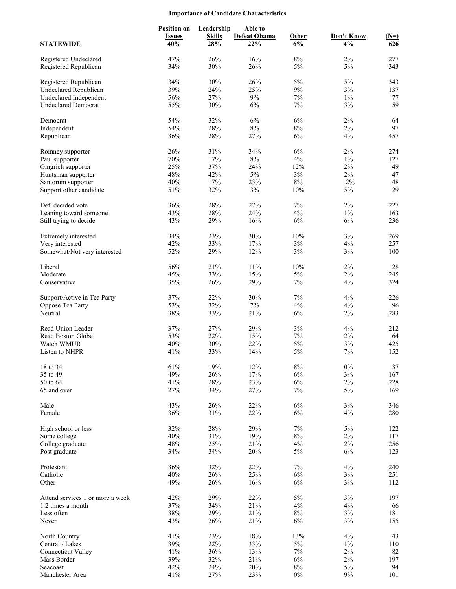## **Importance of Candidate Characteristics**

| <b>STATEWIDE</b>                                       | <b>Position on</b><br><b>Issues</b><br>40% | Leadership<br><b>Skills</b><br>28% | Able to<br><b>Defeat Obama</b><br>22% | Other<br>6%    | Don't Know<br>4% | $(N=)$<br>626 |
|--------------------------------------------------------|--------------------------------------------|------------------------------------|---------------------------------------|----------------|------------------|---------------|
| Registered Undeclared<br>Registered Republican         | 47%<br>34%                                 | 26%<br>30%                         | 16%<br>26%                            | $8\%$<br>5%    | 2%<br>5%         | 277<br>343    |
|                                                        |                                            |                                    |                                       |                |                  |               |
| Registered Republican                                  | 34%                                        | 30%                                | 26%                                   | 5%             | 5%               | 343           |
| <b>Undeclared Republican</b><br>Undeclared Independent | 39%<br>56%                                 | 24%<br>27%                         | 25%<br>9%                             | 9%<br>7%       | 3%<br>$1\%$      | 137<br>77     |
| <b>Undeclared Democrat</b>                             | 55%                                        | 30%                                | 6%                                    | 7%             | 3%               | 59            |
|                                                        |                                            |                                    |                                       |                |                  |               |
| Democrat                                               | 54%                                        | 32%                                | 6%                                    | 6%             | 2%               | 64            |
| Independent                                            | 54%                                        | 28%                                | 8%                                    | $8\%$          | 2%               | 97            |
| Republican                                             | 36%                                        | 28%                                | 27%                                   | 6%             | 4%               | 457           |
| Romney supporter                                       | 26%                                        | 31%                                | 34%                                   | 6%             | 2%               | 274           |
| Paul supporter                                         | 70%                                        | 17%                                | $8\%$                                 | 4%             | $1\%$            | 127           |
| Gingrich supporter                                     | 25%                                        | 37%                                | 24%                                   | 12%            | $2\%$            | 49            |
| Huntsman supporter                                     | 48%                                        | 42%                                | 5%                                    | 3%             | 2%               | 47            |
| Santorum supporter                                     | 40%                                        | 17%                                | 23%                                   | $8\%$          | 12%              | 48            |
| Support other candidate                                | 51%                                        | 32%                                | $3\%$                                 | 10%            | 5%               | 29            |
| Def. decided vote                                      | 36%                                        | 28%                                | 27%                                   | 7%             | 2%               | 227           |
| Leaning toward someone                                 | 43%                                        | 28%                                | 24%                                   | 4%             | $1\%$            | 163           |
| Still trying to decide                                 | 43%                                        | 29%                                | 16%                                   | 6%             | 6%               | 236           |
| Extremely interested                                   | 34%                                        | 23%                                | 30%                                   | 10%            | 3%               | 269           |
| Very interested                                        | 42%                                        | 33%                                | 17%                                   | 3%             | 4%               | 257           |
| Somewhat/Not very interested                           | 52%                                        | 29%                                | 12%                                   | $3\%$          | 3%               | 100           |
|                                                        |                                            |                                    |                                       |                |                  |               |
| Liberal                                                | 56%                                        | 21%                                | 11%                                   | 10%            | 2%               | $28\,$        |
| Moderate                                               | 45%                                        | 33%                                | 15%                                   | 5%             | $2\%$            | 245           |
| Conservative                                           | 35%                                        | 26%                                | 29%                                   | 7%             | 4%               | 324           |
| Support/Active in Tea Party                            | 37%                                        | 22%                                | 30%                                   | 7%             | 4%               | 226           |
| Oppose Tea Party                                       | 53%                                        | 32%                                | 7%                                    | 4%             | 4%               | 96            |
| Neutral                                                | 38%                                        | 33%                                | 21%                                   | 6%             | 2%               | 283           |
| Read Union Leader                                      | 37%                                        | 27%                                | 29%                                   | 3%             | 4%               | 212           |
| Read Boston Globe                                      | 53%                                        | 22%                                | 15%                                   | 7%             | 2%               | 64            |
| Watch WMUR                                             | 40%                                        | 30%                                | 22%                                   | $5\%$          | 3%               | 425           |
| Listen to NHPR                                         | 41%                                        | 33%                                | 14%                                   | $5\%$          | 7%               | 152           |
| 18 to 34                                               | 61%                                        | 19%                                | 12%                                   | $8\%$          | $0\%$            | 37            |
| 35 to 49                                               | 49%                                        | 26%                                | 17%                                   | $6\%$          | $3\%$            | 167           |
| 50 to 64                                               | 41%                                        | 28%                                | 23%                                   | 6%             | 2%               | 228           |
| 65 and over                                            | 27%                                        | 34%                                | 27%                                   | $7\%$          | 5%               | 169           |
| Male                                                   | 43%                                        | 26%                                | 22%                                   | 6%             | $3\%$            | 346           |
| Female                                                 | 36%                                        | 31%                                | 22%                                   | 6%             | 4%               | 280           |
|                                                        |                                            |                                    |                                       |                |                  |               |
| High school or less                                    | 32%                                        | 28%                                | 29%                                   | $7\%$          | 5%               | 122           |
| Some college<br>College graduate                       | 40%<br>48%                                 | 31%<br>25%                         | 19%<br>21%                            | $8\%$<br>$4\%$ | $2\%$<br>$2\%$   | 117<br>256    |
| Post graduate                                          | 34%                                        | 34%                                | 20%                                   | $5\%$          | 6%               | 123           |
|                                                        |                                            |                                    |                                       |                |                  |               |
| Protestant                                             | 36%                                        | 32%                                | 22%                                   | 7%             | 4%               | 240           |
| Catholic                                               | 40%                                        | 26%                                | 25%                                   | $6\%$          | $3\%$            | 251           |
| Other                                                  | 49%                                        | 26%                                | 16%                                   | 6%             | $3\%$            | 112           |
| Attend services 1 or more a week                       | 42%                                        | 29%                                | 22%                                   | $5\%$          | $3\%$            | 197           |
| 1 2 times a month                                      | 37%                                        | 34%                                | 21%                                   | $4\%$          | $4\%$            | 66            |
| Less often                                             | 38%                                        | 29%                                | 21%                                   | $8\%$          | 3%               | 181           |
| Never                                                  | 43%                                        | 26%                                | 21%                                   | 6%             | 3%               | 155           |
| North Country                                          | 41%                                        | 23%                                | $18\%$                                | 13%            | 4%               | 43            |
| Central / Lakes                                        | 39%                                        | 22%                                | 33%                                   | $5\%$          | $1\%$            | 110           |
| <b>Connecticut Valley</b>                              | 41%                                        | 36%                                | 13%                                   | $7\%$          | $2\%$            | 82            |
| Mass Border                                            | 39%                                        | 32%                                | 21%                                   | $6\%$          | $2\%$            | 197           |
| Seacoast                                               | 42%                                        | 24%                                | 20%                                   | $8\%$          | $5\%$            | 94            |
| Manchester Area                                        | 41%                                        | 27%                                | 23%                                   | $0\%$          | $9\%$            | 101           |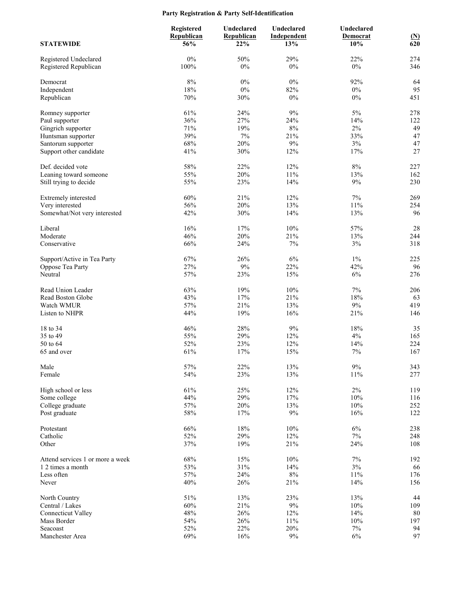# **Party Registration & Party Self-Identification**

|                                               | Registered<br>Republican | Undeclared<br>Republican | Undeclared<br>Independent | Undeclared<br>Democrat |                          |
|-----------------------------------------------|--------------------------|--------------------------|---------------------------|------------------------|--------------------------|
| <b>STATEWIDE</b>                              | 56%                      | 22%                      | 13%                       | 10%                    | $\frac{\text{(N)}}{620}$ |
| Registered Undeclared                         | $0\%$                    | 50%                      | 29%                       | 22%                    | 274                      |
| Registered Republican                         | 100%                     | $0\%$                    | $0\%$                     | $0\%$                  | 346                      |
| Democrat                                      | $8\%$                    | $0\%$                    | $0\%$                     | 92%                    | 64                       |
| Independent                                   | 18%                      | $0\%$                    | 82%                       | $0\%$                  | 95                       |
| Republican                                    | 70%                      | 30%                      | $0\%$                     | $0\%$                  | 451                      |
| Romney supporter                              | 61%                      | 24%                      | 9%                        | 5%                     | 278                      |
| Paul supporter                                | 36%                      | 27%                      | 24%                       | 14%                    | 122                      |
| Gingrich supporter                            | 71%                      | 19%                      | 8%                        | 2%                     | 49                       |
| Huntsman supporter                            | 39%<br>68%               | $7\%$<br>20%             | 21%<br>9%                 | 33%<br>$3\%$           | 47<br>47                 |
| Santorum supporter<br>Support other candidate | 41%                      | 30%                      | 12%                       | 17%                    | 27                       |
|                                               |                          |                          |                           |                        |                          |
| Def. decided vote                             | 58%                      | 22%                      | 12%                       | $8\%$                  | 227                      |
| Leaning toward someone                        | 55%<br>55%               | 20%<br>23%               | 11%<br>14%                | 13%<br>9%              | 162<br>230               |
| Still trying to decide                        |                          |                          |                           |                        |                          |
| Extremely interested                          | 60%                      | 21%                      | 12%                       | 7%                     | 269                      |
| Very interested                               | 56%                      | 20%                      | 13%                       | $11\%$                 | 254                      |
| Somewhat/Not very interested                  | 42%                      | 30%                      | 14%                       | 13%                    | 96                       |
| Liberal                                       | 16%                      | 17%                      | 10%                       | 57%                    | $28\,$                   |
| Moderate                                      | 46%                      | 20%                      | 21%                       | 13%                    | 244                      |
| Conservative                                  | 66%                      | 24%                      | $7\%$                     | $3\%$                  | 318                      |
| Support/Active in Tea Party                   | 67%                      | 26%                      | 6%                        | $1\%$                  | 225                      |
| Oppose Tea Party                              | 27%                      | 9%                       | 22%                       | 42%                    | 96                       |
| Neutral                                       | 57%                      | 23%                      | 15%                       | 6%                     | 276                      |
| Read Union Leader                             | 63%                      | 19%                      | 10%                       | 7%                     | 206                      |
| Read Boston Globe                             | 43%                      | 17%                      | 21%                       | 18%                    | 63                       |
| Watch WMUR                                    | 57%                      | 21%                      | 13%                       | $9\%$                  | 419                      |
| Listen to NHPR                                | 44%                      | 19%                      | 16%                       | 21%                    | 146                      |
| 18 to 34                                      | 46%                      | 28%                      | $9\%$                     | 18%                    | 35                       |
| 35 to 49                                      | 55%                      | 29%                      | 12%                       | 4%                     | 165                      |
| 50 to 64                                      | 52%                      | 23%                      | 12%                       | 14%                    | 224                      |
| 65 and over                                   | 61%                      | 17%                      | 15%                       | $7\%$                  | 167                      |
| Male                                          | 57%                      | 22%                      | 13%                       | $9\%$                  | 343                      |
| Female                                        | 54%                      | 23%                      | 13%                       | 11%                    | 277                      |
| High school or less                           | 61%                      | 25%                      | 12%                       | $2\%$                  | 119                      |
| Some college                                  | 44%                      | 29%                      | 17%                       | 10%                    | 116                      |
| College graduate                              | 57%                      | 20%                      | 13%                       | 10%                    | 252                      |
| Post graduate                                 | 58%                      | 17%                      | $9\%$                     | 16%                    | 122                      |
| Protestant                                    | 66%                      | 18%                      | $10\%$                    | $6\%$                  | 238                      |
| Catholic                                      | 52%                      | 29%                      | 12%                       | $7\%$                  | 248                      |
| Other                                         | 37%                      | 19%                      | 21%                       | 24%                    | 108                      |
| Attend services 1 or more a week              | 68%                      | 15%                      | 10%                       | $7\%$                  | 192                      |
| 1 2 times a month                             | 53%                      | 31%                      | 14%                       | $3\%$                  | 66                       |
| Less often                                    | 57%                      | 24%                      | $8\%$                     | $11\%$                 | 176                      |
| Never                                         | 40%                      | 26%                      | 21%                       | 14%                    | 156                      |
| North Country                                 | 51%                      | 13%                      | 23%                       | 13%                    | 44                       |
| Central / Lakes                               | 60%                      | 21%                      | $9\%$                     | 10%                    | 109                      |
| <b>Connecticut Valley</b>                     | 48%                      | 26%                      | 12%                       | 14%                    | $80\,$                   |
| Mass Border<br>Seacoast                       | 54%<br>52%               | 26%<br>22%               | $11\%$<br>20%             | 10%<br>$7\%$           | 197<br>94                |
| Manchester Area                               | 69%                      | 16%                      | $9\%$                     | 6%                     | 97                       |
|                                               |                          |                          |                           |                        |                          |